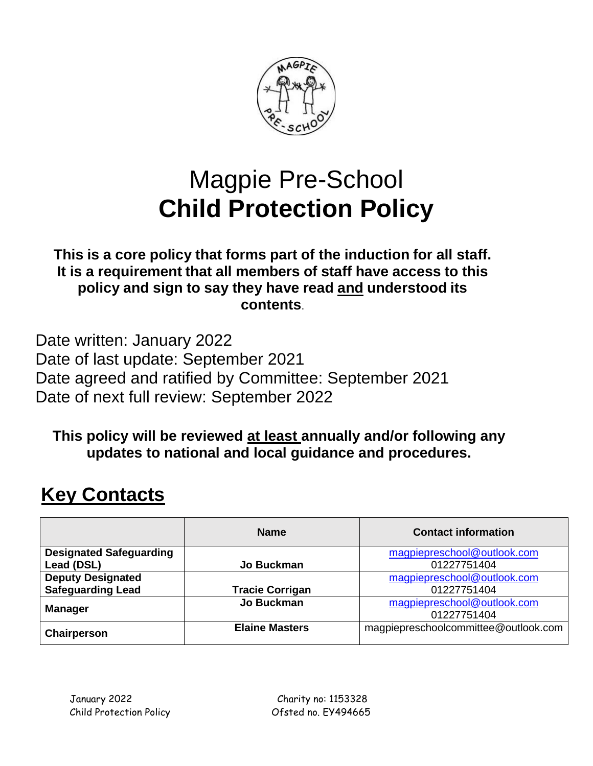

# Magpie Pre-School **Child Protection Policy**

# **This is a core policy that forms part of the induction for all staff. It is a requirement that all members of staff have access to this policy and sign to say they have read and understood its contents**.

Date written: January 2022 Date of last update: September 2021 Date agreed and ratified by Committee: September 2021 Date of next full review: September 2022

# **This policy will be reviewed at least annually and/or following any updates to national and local guidance and procedures.**

# **Key Contacts**

|                                | <b>Name</b>            | <b>Contact information</b>           |
|--------------------------------|------------------------|--------------------------------------|
| <b>Designated Safeguarding</b> |                        | magpiepreschool@outlook.com          |
| Lead (DSL)                     | Jo Buckman             | 01227751404                          |
| <b>Deputy Designated</b>       |                        | magpiepreschool@outlook.com          |
| <b>Safeguarding Lead</b>       | <b>Tracie Corrigan</b> | 01227751404                          |
| <b>Manager</b>                 | <b>Jo Buckman</b>      | magpiepreschool@outlook.com          |
|                                |                        | 01227751404                          |
| Chairperson                    | <b>Elaine Masters</b>  | magpiepreschoolcommittee@outlook.com |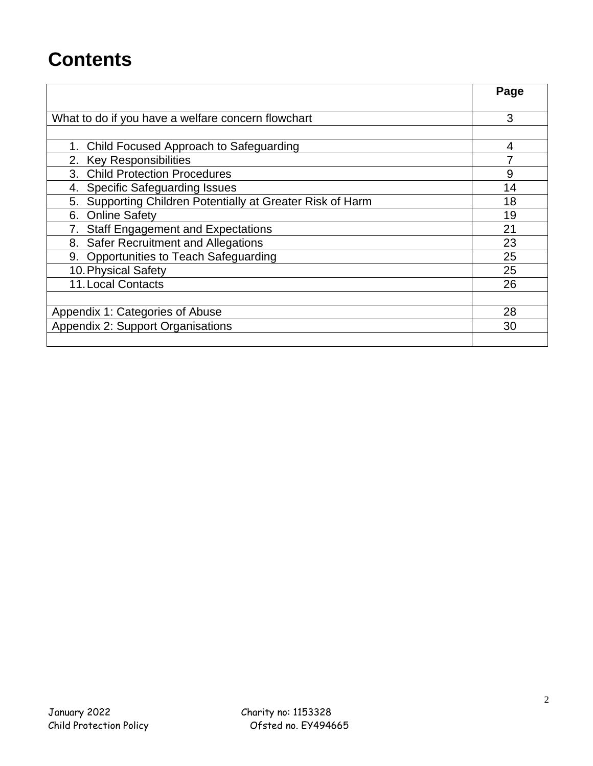# **Contents**

|                                                               | Page |
|---------------------------------------------------------------|------|
|                                                               |      |
| What to do if you have a welfare concern flowchart            | 3    |
|                                                               |      |
| 1. Child Focused Approach to Safeguarding                     | 4    |
| 2. Key Responsibilities                                       |      |
| 3. Child Protection Procedures                                | 9    |
| <b>Specific Safeguarding Issues</b><br>4.                     | 14   |
| Supporting Children Potentially at Greater Risk of Harm<br>5. | 18   |
| 6. Online Safety                                              | 19   |
| <b>Staff Engagement and Expectations</b>                      | 21   |
| 8. Safer Recruitment and Allegations                          | 23   |
| 9. Opportunities to Teach Safeguarding                        | 25   |
| 10. Physical Safety                                           | 25   |
| 11. Local Contacts                                            | 26   |
|                                                               |      |
| Appendix 1: Categories of Abuse                               | 28   |
| Appendix 2: Support Organisations                             | 30   |
|                                                               |      |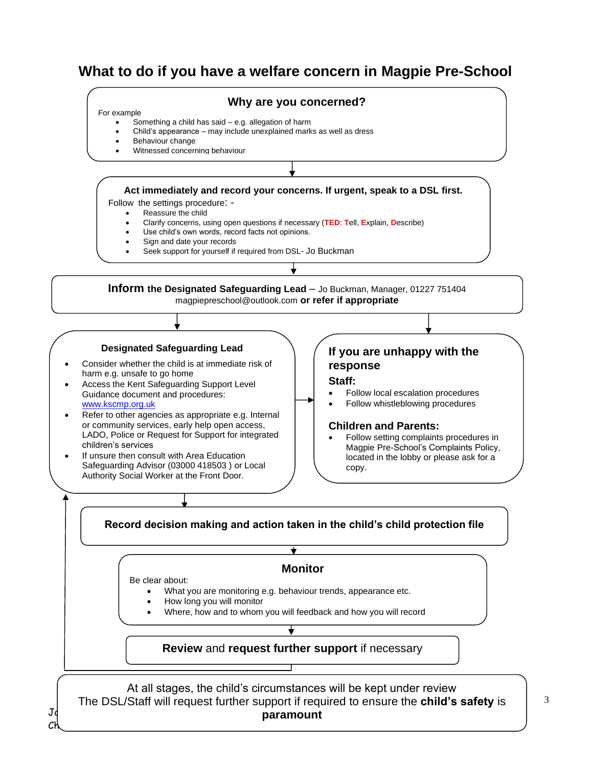# **What to do if you have a welfare concern in Magpie Pre-School**



 $CH<sub>2</sub>$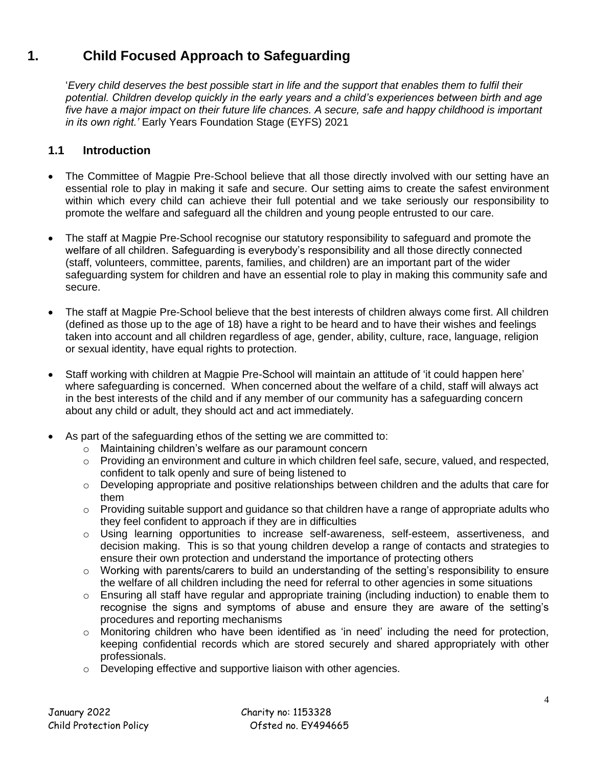# **1. Child Focused Approach to Safeguarding**

'*Every child deserves the best possible start in life and the support that enables them to fulfil their potential. Children develop quickly in the early years and a child's experiences between birth and age five have a major impact on their future life chances. A secure, safe and happy childhood is important in its own right.'* Early Years Foundation Stage (EYFS) 2021

#### **1.1 Introduction**

- The Committee of Magpie Pre-School believe that all those directly involved with our setting have an essential role to play in making it safe and secure. Our setting aims to create the safest environment within which every child can achieve their full potential and we take seriously our responsibility to promote the welfare and safeguard all the children and young people entrusted to our care.
- The staff at Magpie Pre-School recognise our statutory responsibility to safeguard and promote the welfare of all children. Safeguarding is everybody's responsibility and all those directly connected (staff, volunteers, committee, parents, families, and children) are an important part of the wider safeguarding system for children and have an essential role to play in making this community safe and secure.
- The staff at Magpie Pre-School believe that the best interests of children always come first. All children (defined as those up to the age of 18) have a right to be heard and to have their wishes and feelings taken into account and all children regardless of age, gender, ability, culture, race, language, religion or sexual identity, have equal rights to protection.
- Staff working with children at Magpie Pre-School will maintain an attitude of 'it could happen here' where safeguarding is concerned. When concerned about the welfare of a child, staff will always act in the best interests of the child and if any member of our community has a safeguarding concern about any child or adult, they should act and act immediately.
- As part of the safeguarding ethos of the setting we are committed to:
	- o Maintaining children's welfare as our paramount concern
	- o Providing an environment and culture in which children feel safe, secure, valued, and respected, confident to talk openly and sure of being listened to
	- o Developing appropriate and positive relationships between children and the adults that care for them
	- $\circ$  Providing suitable support and guidance so that children have a range of appropriate adults who they feel confident to approach if they are in difficulties
	- $\circ$  Using learning opportunities to increase self-awareness, self-esteem, assertiveness, and decision making. This is so that young children develop a range of contacts and strategies to ensure their own protection and understand the importance of protecting others
	- o Working with parents/carers to build an understanding of the setting's responsibility to ensure the welfare of all children including the need for referral to other agencies in some situations
	- $\circ$  Ensuring all staff have regular and appropriate training (including induction) to enable them to recognise the signs and symptoms of abuse and ensure they are aware of the setting's procedures and reporting mechanisms
	- o Monitoring children who have been identified as 'in need' including the need for protection, keeping confidential records which are stored securely and shared appropriately with other professionals.
	- o Developing effective and supportive liaison with other agencies.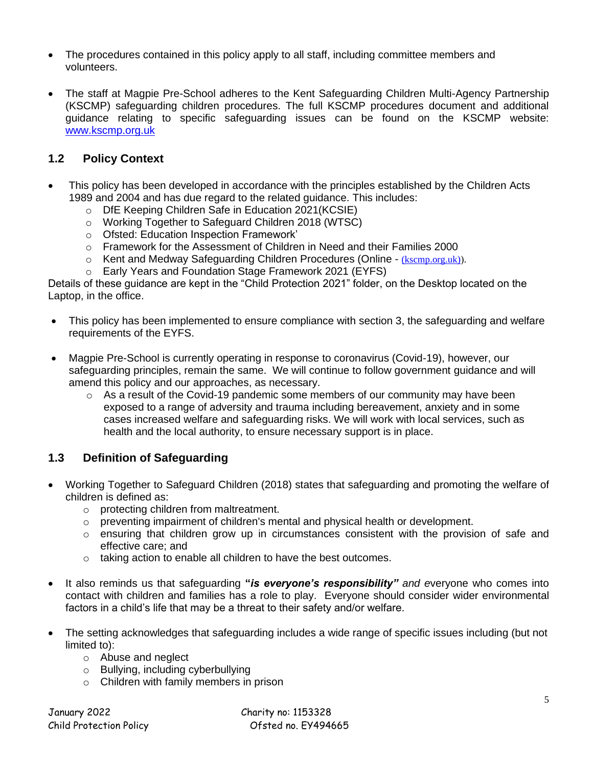- The procedures contained in this policy apply to all staff, including committee members and volunteers.
- The staff at Magpie Pre-School adheres to the Kent Safeguarding Children Multi-Agency Partnership (KSCMP) safeguarding children procedures. The full KSCMP procedures document and additional guidance relating to specific safeguarding issues can be found on the KSCMP website: [www.kscmp.org.uk](http://www.kscmp.org.uk/)

## **1.2 Policy Context**

- This policy has been developed in accordance with the principles established by the Children Acts 1989 and 2004 and has due regard to the related guidance. This includes:
	- o DfE Keeping Children Safe in Education 2021(KCSIE)
	- o Working Together to Safeguard Children 2018 (WTSC)
	- o Ofsted: Education Inspection Framework'
	- o Framework for the Assessment of Children in Need and their Families 2000
	- $\circ$  Kent and Medway Safeguarding Children Procedures (Online [\(kscmp.org.uk\)\)](https://www.kscmp.org.uk/procedures/kent-and-medway-safeguarding-procedures).
	- o Early Years and Foundation Stage Framework 2021 (EYFS)

Details of these guidance are kept in the "Child Protection 2021" folder, on the Desktop located on the Laptop, in the office.

- This policy has been implemented to ensure compliance with section 3, the safeguarding and welfare requirements of the EYFS.
- Magpie Pre-School is currently operating in response to coronavirus (Covid-19), however, our safeguarding principles, remain the same. We will continue to follow government guidance and will amend this policy and our approaches, as necessary.
	- $\circ$  As a result of the Covid-19 pandemic some members of our community may have been exposed to a range of adversity and trauma including bereavement, anxiety and in some cases increased welfare and safeguarding risks. We will work with local services, such as health and the local authority, to ensure necessary support is in place.

## **1.3 Definition of Safeguarding**

- Working Together to Safeguard Children (2018) states that safeguarding and promoting the welfare of children is defined as:
	- o protecting children from maltreatment.
	- o preventing impairment of children's mental and physical health or development.
	- $\circ$  ensuring that children grow up in circumstances consistent with the provision of safe and effective care; and
	- o taking action to enable all children to have the best outcomes.
- It also reminds us that safeguarding **"***is everyone's responsibility" and e*veryone who comes into contact with children and families has a role to play. Everyone should consider wider environmental factors in a child's life that may be a threat to their safety and/or welfare.
- The setting acknowledges that safeguarding includes a wide range of specific issues including (but not limited to):
	- o Abuse and neglect
	- o Bullying, including cyberbullying
	- o Children with family members in prison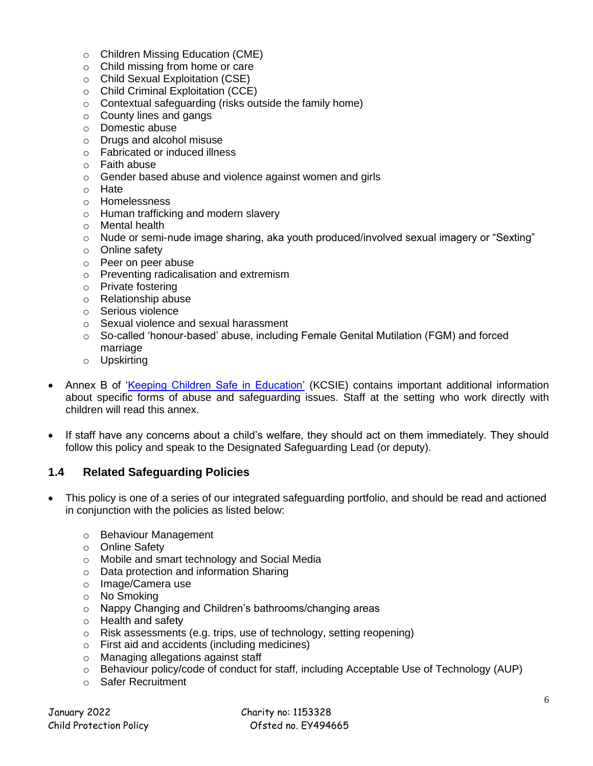- o Children Missing Education (CME)
- o Child missing from home or care
- o Child Sexual Exploitation (CSE)
- o Child Criminal Exploitation (CCE)
- o Contextual safeguarding (risks outside the family home)
- o County lines and gangs
- o Domestic abuse
- o Drugs and alcohol misuse
- o Fabricated or induced illness
- o Faith abuse
- o Gender based abuse and violence against women and girls
- o Hate
- o Homelessness
- o Human trafficking and modern slavery
- o Mental health
- o Nude or semi-nude image sharing, aka youth produced/involved sexual imagery or "Sexting"
- o Online safety
- o Peer on peer abuse
- o Preventing radicalisation and extremism
- o Private fostering
- o Relationship abuse
- o Serious violence
- o Sexual violence and sexual harassment
- $\circ$  So-called 'honour-based' abuse, including Female Genital Mutilation (FGM) and forced marriage
- o Upskirting
- Annex B of ['Keeping Children Safe in Education'](https://www.gov.uk/government/publications/keeping-children-safe-in-education--2) (KCSIE) contains important additional information about specific forms of abuse and safeguarding issues. Staff at the setting who work directly with children will read this annex.
- If staff have any concerns about a child's welfare, they should act on them immediately. They should follow this policy and speak to the Designated Safeguarding Lead (or deputy).

#### **1.4 Related Safeguarding Policies**

- This policy is one of a series of our integrated safeguarding portfolio, and should be read and actioned in conjunction with the policies as listed below:
	- o Behaviour Management
	- o Online Safety
	- o Mobile and smart technology and Social Media
	- o Data protection and information Sharing
	- o Image/Camera use
	- o No Smoking
	- o Nappy Changing and Children's bathrooms/changing areas
	- o Health and safety
	- o Risk assessments (e.g. trips, use of technology, setting reopening)
	- o First aid and accidents (including medicines)
	- o Managing allegations against staff
	- o Behaviour policy/code of conduct for staff, including Acceptable Use of Technology (AUP)
	- o Safer Recruitment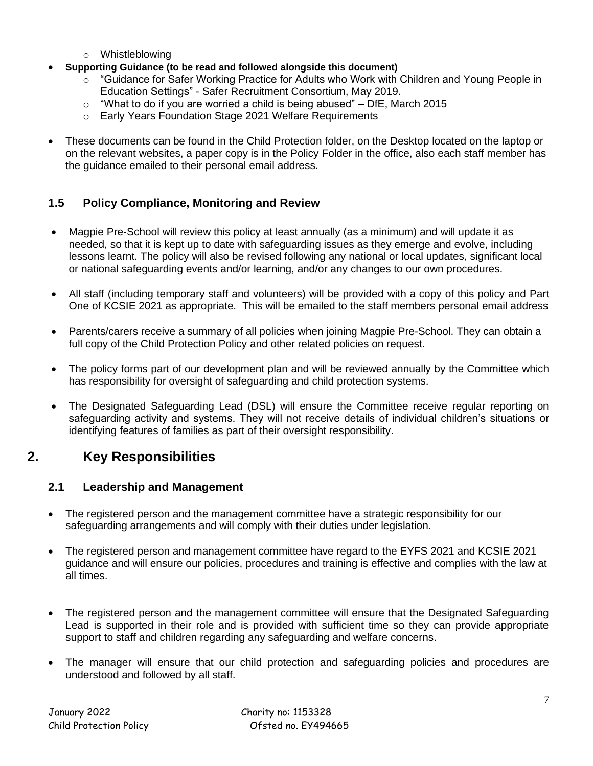- o Whistleblowing
- **Supporting Guidance (to be read and followed alongside this document)**
	- $\circ$  "Guidance for Safer Working Practice for Adults who Work with Children and Young People in Education Settings" - Safer Recruitment Consortium, May 2019.
	- $\circ$  "What to do if you are worried a child is being abused" DfE, March 2015
	- o Early Years Foundation Stage 2021 Welfare Requirements
- These documents can be found in the Child Protection folder, on the Desktop located on the laptop or on the relevant websites, a paper copy is in the Policy Folder in the office, also each staff member has the guidance emailed to their personal email address.

# **1.5 Policy Compliance, Monitoring and Review**

- Magpie Pre-School will review this policy at least annually (as a minimum) and will update it as needed, so that it is kept up to date with safeguarding issues as they emerge and evolve, including lessons learnt. The policy will also be revised following any national or local updates, significant local or national safeguarding events and/or learning, and/or any changes to our own procedures.
- All staff (including temporary staff and volunteers) will be provided with a copy of this policy and Part One of KCSIE 2021 as appropriate. This will be emailed to the staff members personal email address
- Parents/carers receive a summary of all policies when joining Magpie Pre-School. They can obtain a full copy of the Child Protection Policy and other related policies on request.
- The policy forms part of our development plan and will be reviewed annually by the Committee which has responsibility for oversight of safeguarding and child protection systems.
- The Designated Safeguarding Lead (DSL) will ensure the Committee receive regular reporting on safeguarding activity and systems. They will not receive details of individual children's situations or identifying features of families as part of their oversight responsibility.

# **2. Key Responsibilities**

## **2.1 Leadership and Management**

- The registered person and the management committee have a strategic responsibility for our safeguarding arrangements and will comply with their duties under legislation.
- The registered person and management committee have regard to the EYFS 2021 and KCSIE 2021 guidance and will ensure our policies, procedures and training is effective and complies with the law at all times.
- The registered person and the management committee will ensure that the Designated Safeguarding Lead is supported in their role and is provided with sufficient time so they can provide appropriate support to staff and children regarding any safeguarding and welfare concerns.
- The manager will ensure that our child protection and safeguarding policies and procedures are understood and followed by all staff.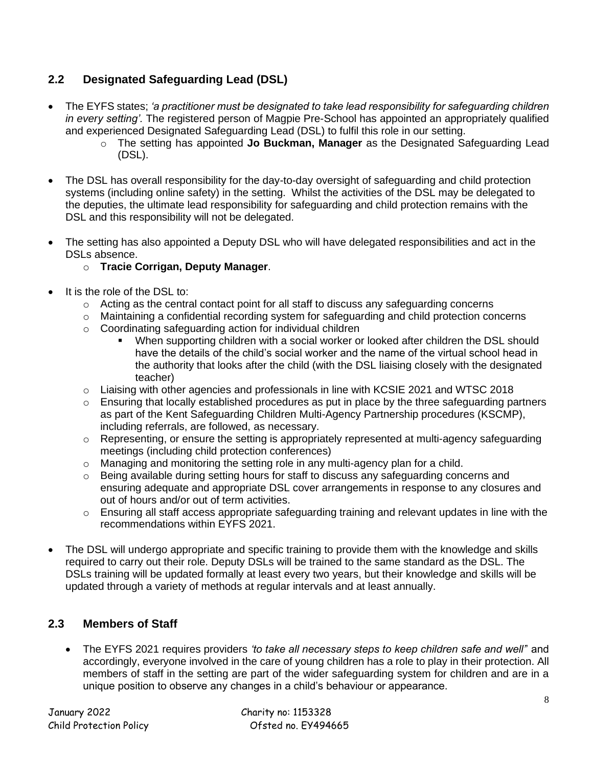# **2.2 Designated Safeguarding Lead (DSL)**

- The EYFS states; *'a practitioner must be designated to take lead responsibility for safeguarding children in every setting'.* The registered person of Magpie Pre-School has appointed an appropriately qualified and experienced Designated Safeguarding Lead (DSL) to fulfil this role in our setting.
	- o The setting has appointed **Jo Buckman, Manager** as the Designated Safeguarding Lead (DSL).
- The DSL has overall responsibility for the day-to-day oversight of safeguarding and child protection systems (including online safety) in the setting. Whilst the activities of the DSL may be delegated to the deputies, the ultimate lead responsibility for safeguarding and child protection remains with the DSL and this responsibility will not be delegated.
- The setting has also appointed a Deputy DSL who will have delegated responsibilities and act in the DSLs absence.

#### o **Tracie Corrigan, Deputy Manager**.

- It is the role of the DSL to:
	- $\circ$  Acting as the central contact point for all staff to discuss any safeguarding concerns
	- $\circ$  Maintaining a confidential recording system for safeguarding and child protection concerns
	- o Coordinating safeguarding action for individual children
		- When supporting children with a social worker or looked after children the DSL should have the details of the child's social worker and the name of the virtual school head in the authority that looks after the child (with the DSL liaising closely with the designated teacher)
	- $\circ$  Liaising with other agencies and professionals in line with KCSIE 2021 and WTSC 2018
	- $\circ$  Ensuring that locally established procedures as put in place by the three safeguarding partners as part of the Kent Safeguarding Children Multi-Agency Partnership procedures (KSCMP), including referrals, are followed, as necessary.
	- o Representing, or ensure the setting is appropriately represented at multi-agency safeguarding meetings (including child protection conferences)
	- o Managing and monitoring the setting role in any multi-agency plan for a child.
	- o Being available during setting hours for staff to discuss any safeguarding concerns and ensuring adequate and appropriate DSL cover arrangements in response to any closures and out of hours and/or out of term activities.
	- o Ensuring all staff access appropriate safeguarding training and relevant updates in line with the recommendations within EYFS 2021.
- The DSL will undergo appropriate and specific training to provide them with the knowledge and skills required to carry out their role. Deputy DSLs will be trained to the same standard as the DSL. The DSLs training will be updated formally at least every two years, but their knowledge and skills will be updated through a variety of methods at regular intervals and at least annually.

## **2.3 Members of Staff**

• The EYFS 2021 requires providers *'to take all necessary steps to keep children safe and well'*' and accordingly, everyone involved in the care of young children has a role to play in their protection. All members of staff in the setting are part of the wider safeguarding system for children and are in a unique position to observe any changes in a child's behaviour or appearance.

January 2022 Charity no: 1153328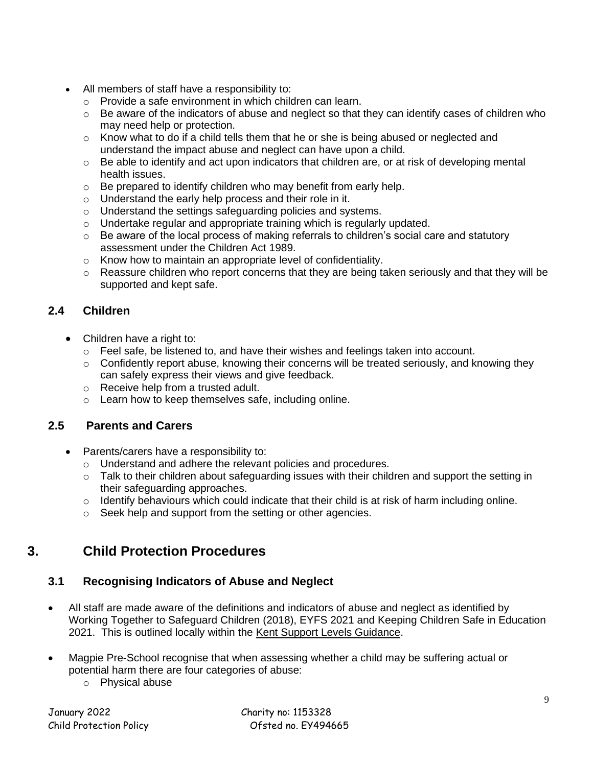- All members of staff have a responsibility to:
	- o Provide a safe environment in which children can learn.
	- $\circ$  Be aware of the indicators of abuse and neglect so that they can identify cases of children who may need help or protection.
	- $\circ$  Know what to do if a child tells them that he or she is being abused or neglected and understand the impact abuse and neglect can have upon a child.
	- $\circ$  Be able to identify and act upon indicators that children are, or at risk of developing mental health issues.
	- o Be prepared to identify children who may benefit from early help.
	- o Understand the early help process and their role in it.
	- o Understand the settings safeguarding policies and systems.
	- o Undertake regular and appropriate training which is regularly updated.
	- o Be aware of the local process of making referrals to children's social care and statutory assessment under the Children Act 1989.
	- o Know how to maintain an appropriate level of confidentiality.
	- $\circ$  Reassure children who report concerns that they are being taken seriously and that they will be supported and kept safe.

# **2.4 Children**

- Children have a right to:
	- o Feel safe, be listened to, and have their wishes and feelings taken into account.
	- $\circ$  Confidently report abuse, knowing their concerns will be treated seriously, and knowing they can safely express their views and give feedback.
	- o Receive help from a trusted adult.
	- o Learn how to keep themselves safe, including online.

## **2.5 Parents and Carers**

- Parents/carers have a responsibility to:
	- o Understand and adhere the relevant policies and procedures.
	- o Talk to their children about safeguarding issues with their children and support the setting in their safeguarding approaches.
	- o Identify behaviours which could indicate that their child is at risk of harm including online.
	- o Seek help and support from the setting or other agencies.

# **3. Child Protection Procedures**

## **3.1 Recognising Indicators of Abuse and Neglect**

- All staff are made aware of the definitions and indicators of abuse and neglect as identified by Working Together to Safeguard Children (2018), EYFS 2021 and Keeping Children Safe in Education 2021. This is outlined locally within the [Kent Support Levels Guidance.](https://www.kscmp.org.uk/guidance/kent-support-levels-guidance)
- Magpie Pre-School recognise that when assessing whether a child may be suffering actual or potential harm there are four categories of abuse:
	- o Physical abuse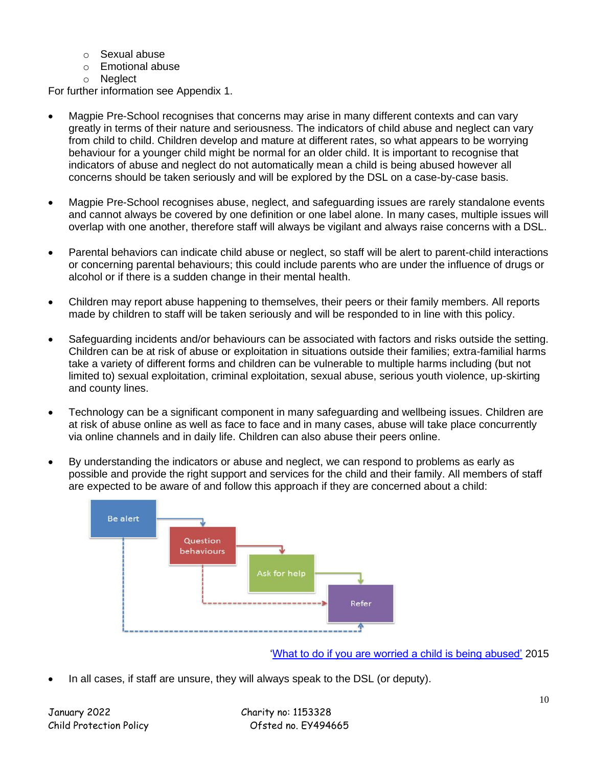- o Sexual abuse
- o Emotional abuse
- o Neglect

For further information see Appendix 1.

- Magpie Pre-School recognises that concerns may arise in many different contexts and can vary greatly in terms of their nature and seriousness. The indicators of child abuse and neglect can vary from child to child. Children develop and mature at different rates, so what appears to be worrying behaviour for a younger child might be normal for an older child. It is important to recognise that indicators of abuse and neglect do not automatically mean a child is being abused however all concerns should be taken seriously and will be explored by the DSL on a case-by-case basis.
- Magpie Pre-School recognises abuse, neglect, and safeguarding issues are rarely standalone events and cannot always be covered by one definition or one label alone. In many cases, multiple issues will overlap with one another, therefore staff will always be vigilant and always raise concerns with a DSL.
- Parental behaviors can indicate child abuse or neglect, so staff will be alert to parent-child interactions or concerning parental behaviours; this could include parents who are under the influence of drugs or alcohol or if there is a sudden change in their mental health.
- Children may report abuse happening to themselves, their peers or their family members. All reports made by children to staff will be taken seriously and will be responded to in line with this policy.
- Safeguarding incidents and/or behaviours can be associated with factors and risks outside the setting. Children can be at risk of abuse or exploitation in situations outside their families; extra-familial harms take a variety of different forms and children can be vulnerable to multiple harms including (but not limited to) sexual exploitation, criminal exploitation, sexual abuse, serious youth violence, up-skirting and county lines.
- Technology can be a significant component in many safeguarding and wellbeing issues. Children are at risk of abuse online as well as face to face and in many cases, abuse will take place concurrently via online channels and in daily life. Children can also abuse their peers online.
- By understanding the indicators or abuse and neglect, we can respond to problems as early as possible and provide the right support and services for the child and their family. All members of staff are expected to be aware of and follow this approach if they are concerned about a child:



['What to do if you are worried a child is being abused'](https://www.gov.uk/government/publications/what-to-do-if-youre-worried-a-child-is-being-abused--2) 2015

• In all cases, if staff are unsure, they will always speak to the DSL (or deputy).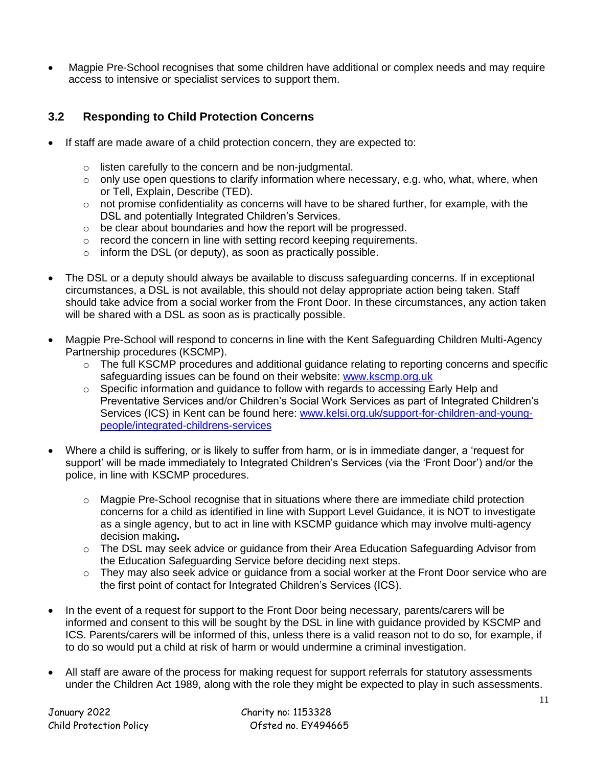• Magpie Pre-School recognises that some children have additional or complex needs and may require access to intensive or specialist services to support them.

# **3.2 Responding to Child Protection Concerns**

- If staff are made aware of a child protection concern, they are expected to:
	- o listen carefully to the concern and be non-judgmental.
	- $\circ$  only use open questions to clarify information where necessary, e.g. who, what, where, when or Tell, Explain, Describe (TED).
	- o not promise confidentiality as concerns will have to be shared further, for example, with the DSL and potentially Integrated Children's Services.
	- o be clear about boundaries and how the report will be progressed.
	- o record the concern in line with setting record keeping requirements.
	- $\circ$  inform the DSL (or deputy), as soon as practically possible.
- The DSL or a deputy should always be available to discuss safeguarding concerns. If in exceptional circumstances, a DSL is not available, this should not delay appropriate action being taken. Staff should take advice from a social worker from the Front Door. In these circumstances, any action taken will be shared with a DSL as soon as is practically possible.
- Magpie Pre-School will respond to concerns in line with the Kent Safeguarding Children Multi-Agency Partnership procedures (KSCMP).
	- o The full KSCMP procedures and additional guidance relating to reporting concerns and specific safeguarding issues can be found on their website: [www.kscmp.org.uk](http://www.kscmp.org.uk/)
	- o Specific information and guidance to follow with regards to accessing Early Help and Preventative Services and/or Children's Social Work Services as part of Integrated Children's Services (ICS) in Kent can be found here: [www.kelsi.org.uk/support-for-children-and-young](http://www.kelsi.org.uk/support-for-children-and-young-people/integrated-childrens-services)[people/integrated-childrens-services](http://www.kelsi.org.uk/support-for-children-and-young-people/integrated-childrens-services)
- Where a child is suffering, or is likely to suffer from harm, or is in immediate danger, a 'request for support' will be made immediately to Integrated Children's Services (via the 'Front Door') and/or the police, in line with KSCMP procedures.
	- $\circ$  Magpie Pre-School recognise that in situations where there are immediate child protection concerns for a child as identified in line with Support Level Guidance, it is NOT to investigate as a single agency, but to act in line with KSCMP guidance which may involve multi-agency decision making**.**
	- o The DSL may seek advice or guidance from their Area Education Safeguarding Advisor from the Education Safeguarding Service before deciding next steps.
	- $\circ$  They may also seek advice or guidance from a social worker at the Front Door service who are the first point of contact for Integrated Children's Services (ICS).
- In the event of a request for support to the Front Door being necessary, parents/carers will be informed and consent to this will be sought by the DSL in line with guidance provided by KSCMP and ICS. Parents/carers will be informed of this, unless there is a valid reason not to do so, for example, if to do so would put a child at risk of harm or would undermine a criminal investigation.
- All staff are aware of the process for making request for support referrals for statutory assessments under the Children Act 1989, along with the role they might be expected to play in such assessments.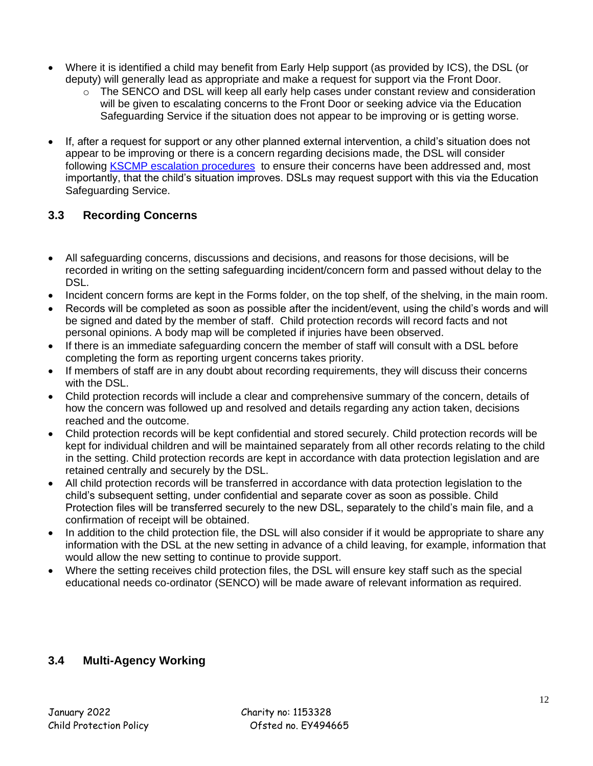- Where it is identified a child may benefit from Early Help support (as provided by ICS), the DSL (or deputy) will generally lead as appropriate and make a request for support via the Front Door.
	- o The SENCO and DSL will keep all early help cases under constant review and consideration will be given to escalating concerns to the Front Door or seeking advice via the Education Safeguarding Service if the situation does not appear to be improving or is getting worse.
- If, after a request for support or any other planned external intervention, a child's situation does not appear to be improving or there is a concern regarding decisions made, the DSL will consider following [KSCMP escalation procedures](https://www.proceduresonline.com/kentandmedway/chapters/p_resolution.html) to ensure their concerns have been addressed and, most importantly, that the child's situation improves. DSLs may request support with this via the Education Safeguarding Service.

# **3.3 Recording Concerns**

- All safeguarding concerns, discussions and decisions, and reasons for those decisions, will be recorded in writing on the setting safeguarding incident/concern form and passed without delay to the DSL.
- Incident concern forms are kept in the Forms folder, on the top shelf, of the shelving, in the main room.
- Records will be completed as soon as possible after the incident/event, using the child's words and will be signed and dated by the member of staff. Child protection records will record facts and not personal opinions. A body map will be completed if injuries have been observed.
- If there is an immediate safeguarding concern the member of staff will consult with a DSL before completing the form as reporting urgent concerns takes priority.
- If members of staff are in any doubt about recording requirements, they will discuss their concerns with the DSL.
- Child protection records will include a clear and comprehensive summary of the concern, details of how the concern was followed up and resolved and details regarding any action taken, decisions reached and the outcome.
- Child protection records will be kept confidential and stored securely. Child protection records will be kept for individual children and will be maintained separately from all other records relating to the child in the setting. Child protection records are kept in accordance with data protection legislation and are retained centrally and securely by the DSL.
- All child protection records will be transferred in accordance with data protection legislation to the child's subsequent setting, under confidential and separate cover as soon as possible. Child Protection files will be transferred securely to the new DSL, separately to the child's main file, and a confirmation of receipt will be obtained.
- In addition to the child protection file, the DSL will also consider if it would be appropriate to share any information with the DSL at the new setting in advance of a child leaving, for example, information that would allow the new setting to continue to provide support.
- Where the setting receives child protection files, the DSL will ensure key staff such as the special educational needs co-ordinator (SENCO) will be made aware of relevant information as required.

## **3.4 Multi-Agency Working**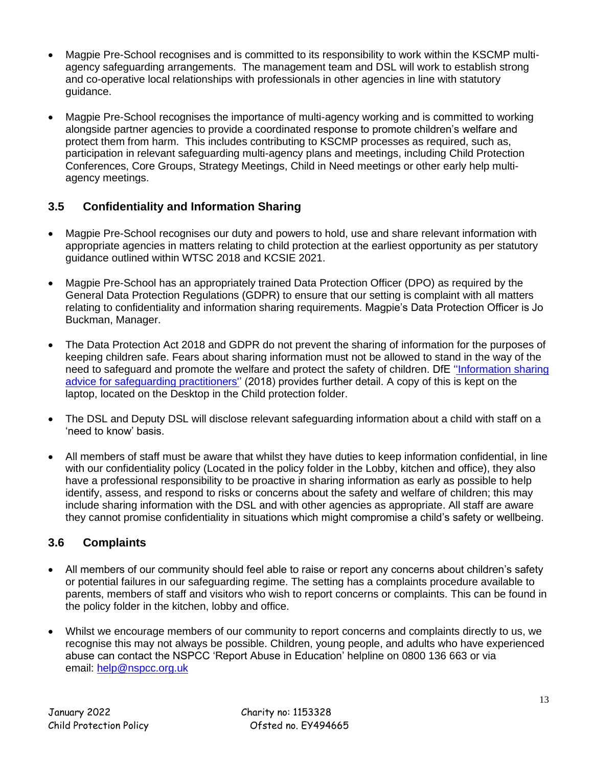- Magpie Pre-School recognises and is committed to its responsibility to work within the KSCMP multiagency safeguarding arrangements. The management team and DSL will work to establish strong and co-operative local relationships with professionals in other agencies in line with statutory guidance.
- Magpie Pre-School recognises the importance of multi-agency working and is committed to working alongside partner agencies to provide a coordinated response to promote children's welfare and protect them from harm. This includes contributing to KSCMP processes as required, such as, participation in relevant safeguarding multi-agency plans and meetings, including Child Protection Conferences, Core Groups, Strategy Meetings, Child in Need meetings or other early help multiagency meetings.

# **3.5 Confidentiality and Information Sharing**

- Magpie Pre-School recognises our duty and powers to hold, use and share relevant information with appropriate agencies in matters relating to child protection at the earliest opportunity as per statutory guidance outlined within WTSC 2018 and KCSIE 2021.
- Magpie Pre-School has an appropriately trained Data Protection Officer (DPO) as required by the General Data Protection Regulations (GDPR) to ensure that our setting is complaint with all matters relating to confidentiality and information sharing requirements. Magpie's Data Protection Officer is Jo Buckman, Manager.
- The Data Protection Act 2018 and GDPR do not prevent the sharing of information for the purposes of keeping children safe. Fears about sharing information must not be allowed to stand in the way of the need to safeguard and promote the welfare and protect the safety of children. DfE [''Information sharing](https://www.gov.uk/government/publications/safeguarding-practitioners-information-sharing-advice)  advice for safeguarding practitioners" (2018) provides further detail. A copy of this is kept on the laptop, located on the Desktop in the Child protection folder.
- The DSL and Deputy DSL will disclose relevant safeguarding information about a child with staff on a 'need to know' basis.
- All members of staff must be aware that whilst they have duties to keep information confidential, in line with our confidentiality policy (Located in the policy folder in the Lobby, kitchen and office), they also have a professional responsibility to be proactive in sharing information as early as possible to help identify, assess, and respond to risks or concerns about the safety and welfare of children; this may include sharing information with the DSL and with other agencies as appropriate. All staff are aware they cannot promise confidentiality in situations which might compromise a child's safety or wellbeing.

# **3.6 Complaints**

- All members of our community should feel able to raise or report any concerns about children's safety or potential failures in our safeguarding regime. The setting has a complaints procedure available to parents, members of staff and visitors who wish to report concerns or complaints. This can be found in the policy folder in the kitchen, lobby and office.
- Whilst we encourage members of our community to report concerns and complaints directly to us, we recognise this may not always be possible. Children, young people, and adults who have experienced abuse can contact the NSPCC 'Report Abuse in Education' helpline on [0800 136 663](tel:0800%20136%20663) or via email: [help@nspcc.org.uk](mailto:help@nspcc.org.uk)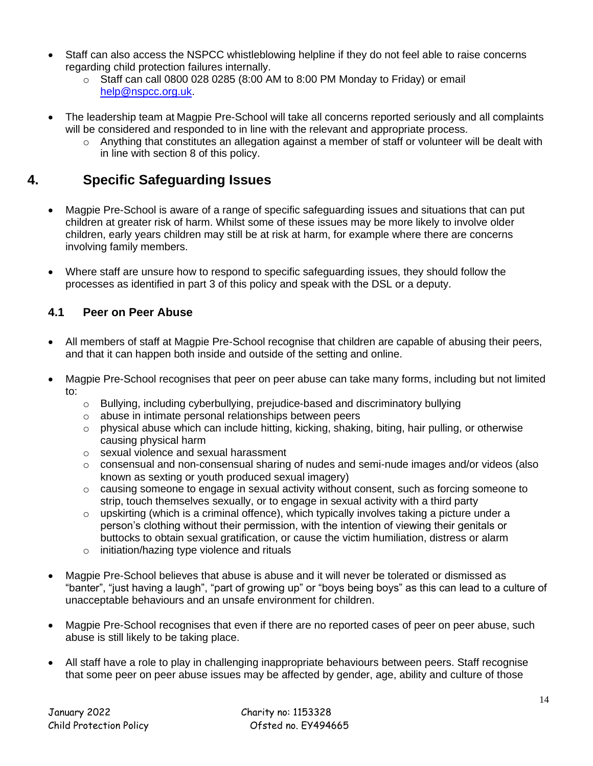- Staff can also access the NSPCC whistleblowing helpline if they do not feel able to raise concerns regarding child protection failures internally.
	- $\circ$  Staff can call 0800 028 0285 (8:00 AM to 8:00 PM Monday to Friday) or email [help@nspcc.org.uk.](mailto:help@nspcc.org.uk)
- The leadership team at Magpie Pre-School will take all concerns reported seriously and all complaints will be considered and responded to in line with the relevant and appropriate process.
	- $\circ$  Anything that constitutes an allegation against a member of staff or volunteer will be dealt with in line with section 8 of this policy.

# **4. Specific Safeguarding Issues**

- Magpie Pre-School is aware of a range of specific safeguarding issues and situations that can put children at greater risk of harm. Whilst some of these issues may be more likely to involve older children, early years children may still be at risk at harm, for example where there are concerns involving family members.
- Where staff are unsure how to respond to specific safeguarding issues, they should follow the processes as identified in part 3 of this policy and speak with the DSL or a deputy.

## **4.1 Peer on Peer Abuse**

- All members of staff at Magpie Pre-School recognise that children are capable of abusing their peers, and that it can happen both inside and outside of the setting and online.
- Magpie Pre-School recognises that peer on peer abuse can take many forms, including but not limited to:
	- o Bullying, including cyberbullying, prejudice-based and discriminatory bullying
	- o abuse in intimate personal relationships between peers
	- $\circ$  physical abuse which can include hitting, kicking, shaking, biting, hair pulling, or otherwise causing physical harm
	- o sexual violence and sexual harassment
	- $\circ$  consensual and non-consensual sharing of nudes and semi-nude images and/or videos (also known as sexting or youth produced sexual imagery)
	- o causing someone to engage in sexual activity without consent, such as forcing someone to strip, touch themselves sexually, or to engage in sexual activity with a third party
	- $\circ$  upskirting (which is a criminal offence), which typically involves taking a picture under a person's clothing without their permission, with the intention of viewing their genitals or buttocks to obtain sexual gratification, or cause the victim humiliation, distress or alarm
	- o initiation/hazing type violence and rituals
- Magpie Pre-School believes that abuse is abuse and it will never be tolerated or dismissed as "banter", "just having a laugh", "part of growing up" or "boys being boys" as this can lead to a culture of unacceptable behaviours and an unsafe environment for children.
- Magpie Pre-School recognises that even if there are no reported cases of peer on peer abuse, such abuse is still likely to be taking place.
- All staff have a role to play in challenging inappropriate behaviours between peers. Staff recognise that some peer on peer abuse issues may be affected by gender, age, ability and culture of those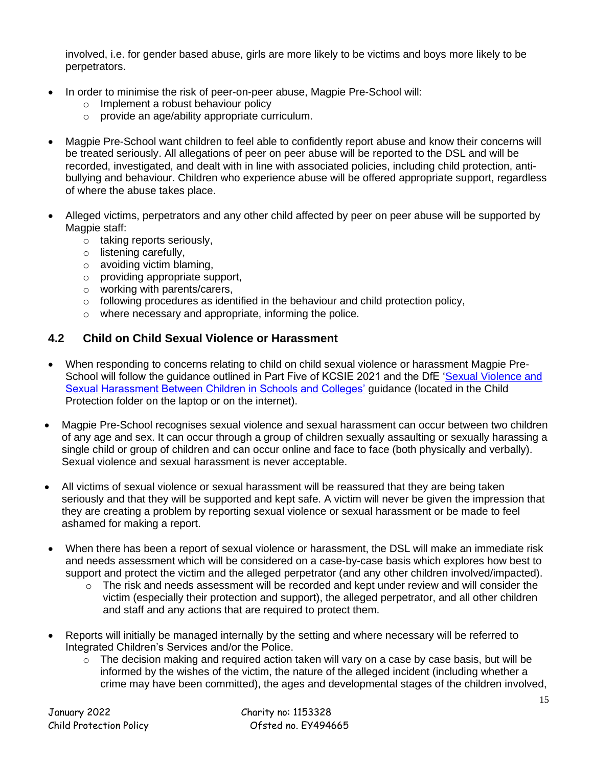involved, i.e. for gender based abuse, girls are more likely to be victims and boys more likely to be perpetrators.

- In order to minimise the risk of peer-on-peer abuse, Magpie Pre-School will:
	- o Implement a robust behaviour policy
	- o provide an age/ability appropriate curriculum.
- Magpie Pre-School want children to feel able to confidently report abuse and know their concerns will be treated seriously. All allegations of peer on peer abuse will be reported to the DSL and will be recorded, investigated, and dealt with in line with associated policies, including child protection, antibullying and behaviour. Children who experience abuse will be offered appropriate support, regardless of where the abuse takes place.
- Alleged victims, perpetrators and any other child affected by peer on peer abuse will be supported by Magpie staff:
	- o taking reports seriously,
	- o listening carefully,
	- o avoiding victim blaming,
	- o providing appropriate support,
	- o working with parents/carers,
	- o following procedures as identified in the behaviour and child protection policy,
	- o where necessary and appropriate, informing the police*.*

# **4.2 Child on Child Sexual Violence or Harassment**

- When responding to concerns relating to child on child sexual violence or harassment Magpie Pre-School will follow the guidance outlined in Part Five of KCSIE 2021 and the DfE 'Sexual Violence and [Sexual Harassment Between Children in Schools and Colleges'](https://www.gov.uk/government/publications/sexual-violence-and-sexual-harassment-between-children-in-schools-and-colleges) guidance (located in the Child Protection folder on the laptop or on the internet).
- Magpie Pre-School recognises sexual violence and sexual harassment can occur between two children of any age and sex. It can occur through a group of children sexually assaulting or sexually harassing a single child or group of children and can occur online and face to face (both physically and verbally). Sexual violence and sexual harassment is never acceptable.
- All victims of sexual violence or sexual harassment will be reassured that they are being taken seriously and that they will be supported and kept safe. A victim will never be given the impression that they are creating a problem by reporting sexual violence or sexual harassment or be made to feel ashamed for making a report.
- When there has been a report of sexual violence or harassment, the DSL will make an immediate risk and needs assessment which will be considered on a case-by-case basis which explores how best to support and protect the victim and the alleged perpetrator (and any other children involved/impacted).
	- o The risk and needs assessment will be recorded and kept under review and will consider the victim (especially their protection and support), the alleged perpetrator, and all other children and staff and any actions that are required to protect them.
- Reports will initially be managed internally by the setting and where necessary will be referred to Integrated Children's Services and/or the Police.
	- o The decision making and required action taken will vary on a case by case basis, but will be informed by the wishes of the victim, the nature of the alleged incident (including whether a crime may have been committed), the ages and developmental stages of the children involved,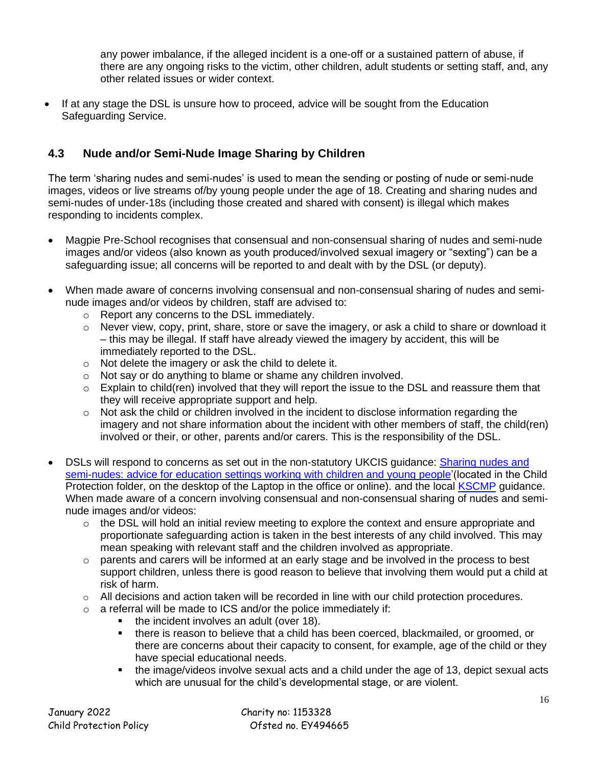any power imbalance, if the alleged incident is a one-off or a sustained pattern of abuse, if there are any ongoing risks to the victim, other children, adult students or setting staff, and, any other related issues or wider context.

• If at any stage the DSL is unsure how to proceed, advice will be sought from the Education Safeguarding Service.

## **4.3 Nude and/or Semi-Nude Image Sharing by Children**

The term 'sharing nudes and semi-nudes' is used to mean the sending or posting of nude or semi-nude images, videos or live streams of/by young people under the age of 18. Creating and sharing nudes and semi-nudes of under-18s (including those created and shared with consent) is illegal which makes responding to incidents complex.

- Magpie Pre-School recognises that consensual and non-consensual sharing of nudes and semi-nude images and/or videos (also known as youth produced/involved sexual imagery or "sexting") can be a safeguarding issue; all concerns will be reported to and dealt with by the DSL (or deputy).
- When made aware of concerns involving consensual and non-consensual sharing of nudes and seminude images and/or videos by children, staff are advised to:
	- o Report any concerns to the DSL immediately.
	- $\circ$  Never view, copy, print, share, store or save the imagery, or ask a child to share or download it – this may be illegal. If staff have already viewed the imagery by accident, this will be immediately reported to the DSL.
	- o Not delete the imagery or ask the child to delete it.
	- o Not say or do anything to blame or shame any children involved.
	- $\circ$  Explain to child(ren) involved that they will report the issue to the DSL and reassure them that they will receive appropriate support and help.
	- $\circ$  Not ask the child or children involved in the incident to disclose information regarding the imagery and not share information about the incident with other members of staff, the child(ren) involved or their, or other, parents and/or carers. This is the responsibility of the DSL.
- DSLs will respond to concerns as set out in the non-statutory UKCIS guidance: [Sharing nudes and](https://www.gov.uk/government/publications/sharing-nudes-and-semi-nudes-advice-for-education-settings-working-with-children-and-young-people)  [semi-nudes: advice for education settings working with children and young people'](https://www.gov.uk/government/publications/sharing-nudes-and-semi-nudes-advice-for-education-settings-working-with-children-and-young-people)(located in the Child Protection folder, on the desktop of the Laptop in the office or online). and the local [KSCMP](http://www.kscb.org.uk/guidance/online-safety) guidance. When made aware of a concern involving consensual and non-consensual sharing of nudes and seminude images and/or videos:
	- $\circ$  the DSL will hold an initial review meeting to explore the context and ensure appropriate and proportionate safeguarding action is taken in the best interests of any child involved. This may mean speaking with relevant staff and the children involved as appropriate.
	- $\circ$  parents and carers will be informed at an early stage and be involved in the process to best support children, unless there is good reason to believe that involving them would put a child at risk of harm.
	- $\circ$  All decisions and action taken will be recorded in line with our child protection procedures.
	- $\circ$  a referral will be made to ICS and/or the police immediately if:
		- the incident involves an adult (over 18).
		- there is reason to believe that a child has been coerced, blackmailed, or groomed, or there are concerns about their capacity to consent, for example, age of the child or they have special educational needs.
		- the image/videos involve sexual acts and a child under the age of 13, depict sexual acts which are unusual for the child's developmental stage, or are violent.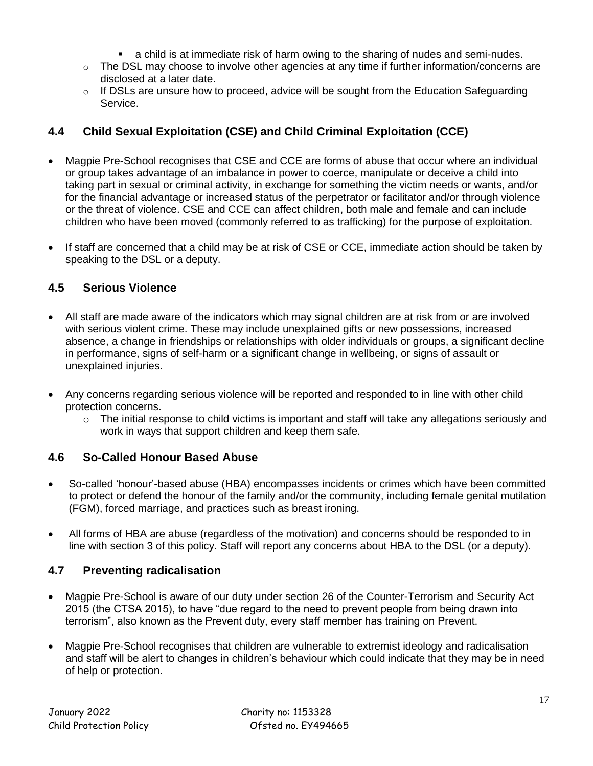- a child is at immediate risk of harm owing to the sharing of nudes and semi-nudes.
- $\circ$  The DSL may choose to involve other agencies at any time if further information/concerns are disclosed at a later date.
- $\circ$  If DSLs are unsure how to proceed, advice will be sought from the Education Safeguarding Service.

# **4.4 Child Sexual Exploitation (CSE) and Child Criminal Exploitation (CCE)**

- Magpie Pre-School recognises that CSE and CCE are forms of abuse that occur where an individual or group takes advantage of an imbalance in power to coerce, manipulate or deceive a child into taking part in sexual or criminal activity, in exchange for something the victim needs or wants, and/or for the financial advantage or increased status of the perpetrator or facilitator and/or through violence or the threat of violence. CSE and CCE can affect children, both male and female and can include children who have been moved (commonly referred to as trafficking) for the purpose of exploitation.
- If staff are concerned that a child may be at risk of CSE or CCE, immediate action should be taken by speaking to the DSL or a deputy.

#### **4.5 Serious Violence**

- All staff are made aware of the indicators which may signal children are at risk from or are involved with serious violent crime. These may include unexplained gifts or new possessions, increased absence, a change in friendships or relationships with older individuals or groups, a significant decline in performance, signs of self-harm or a significant change in wellbeing, or signs of assault or unexplained injuries.
- Any concerns regarding serious violence will be reported and responded to in line with other child protection concerns.
	- $\circ$  The initial response to child victims is important and staff will take any allegations seriously and work in ways that support children and keep them safe.

## **4.6 So-Called Honour Based Abuse**

- So-called 'honour'-based abuse (HBA) encompasses incidents or crimes which have been committed to protect or defend the honour of the family and/or the community, including female genital mutilation (FGM), forced marriage, and practices such as breast ironing.
- All forms of HBA are abuse (regardless of the motivation) and concerns should be responded to in line with section 3 of this policy. Staff will report any concerns about HBA to the DSL (or a deputy).

#### **4.7 Preventing radicalisation**

- Magpie Pre-School is aware of our duty under section 26 of the Counter-Terrorism and Security Act 2015 (the CTSA 2015), to have "due regard to the need to prevent people from being drawn into terrorism", also known as the Prevent duty, every staff member has training on Prevent.
- Magpie Pre-School recognises that children are vulnerable to extremist ideology and radicalisation and staff will be alert to changes in children's behaviour which could indicate that they may be in need of help or protection.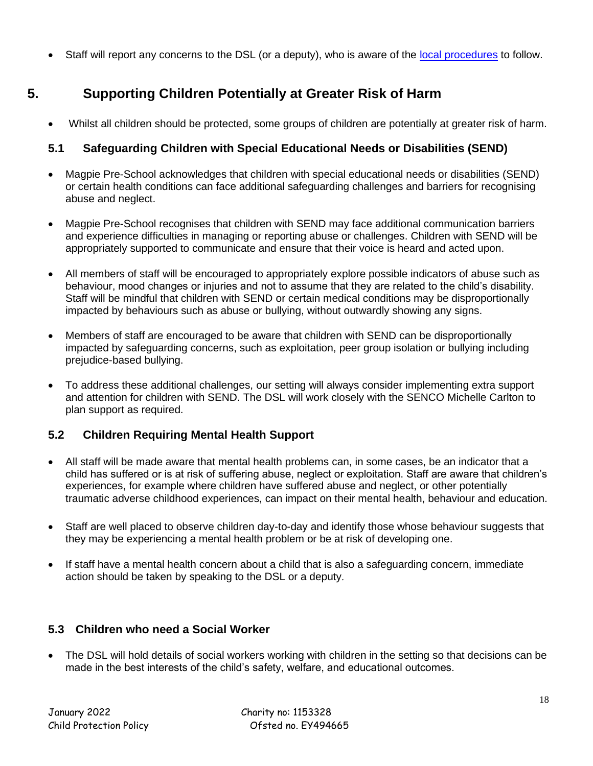• Staff will report any concerns to the DSL (or a deputy), who is aware of the [local procedures](https://www.kelsi.org.uk/child-protection-and-safeguarding/prevent-within-schools) to follow.

# **5. Supporting Children Potentially at Greater Risk of Harm**

• Whilst all children should be protected, some groups of children are potentially at greater risk of harm.

# **5.1 Safeguarding Children with Special Educational Needs or Disabilities (SEND)**

- Magpie Pre-School acknowledges that children with special educational needs or disabilities (SEND) or certain health conditions can face additional safeguarding challenges and barriers for recognising abuse and neglect.
- Magpie Pre-School recognises that children with SEND may face additional communication barriers and experience difficulties in managing or reporting abuse or challenges. Children with SEND will be appropriately supported to communicate and ensure that their voice is heard and acted upon.
- All members of staff will be encouraged to appropriately explore possible indicators of abuse such as behaviour, mood changes or injuries and not to assume that they are related to the child's disability. Staff will be mindful that children with SEND or certain medical conditions may be disproportionally impacted by behaviours such as abuse or bullying, without outwardly showing any signs.
- Members of staff are encouraged to be aware that children with SEND can be disproportionally impacted by safeguarding concerns, such as exploitation, peer group isolation or bullying including prejudice-based bullying.
- To address these additional challenges, our setting will always consider implementing extra support and attention for children with SEND. The DSL will work closely with the SENCO Michelle Carlton to plan support as required.

# **5.2 Children Requiring Mental Health Support**

- All staff will be made aware that mental health problems can, in some cases, be an indicator that a child has suffered or is at risk of suffering abuse, neglect or exploitation. Staff are aware that children's experiences, for example where children have suffered abuse and neglect, or other potentially traumatic adverse childhood experiences, can impact on their mental health, behaviour and education.
- Staff are well placed to observe children day-to-day and identify those whose behaviour suggests that they may be experiencing a mental health problem or be at risk of developing one.
- If staff have a mental health concern about a child that is also a safeguarding concern, immediate action should be taken by speaking to the DSL or a deputy.

## **5.3 Children who need a Social Worker**

• The DSL will hold details of social workers working with children in the setting so that decisions can be made in the best interests of the child's safety, welfare, and educational outcomes.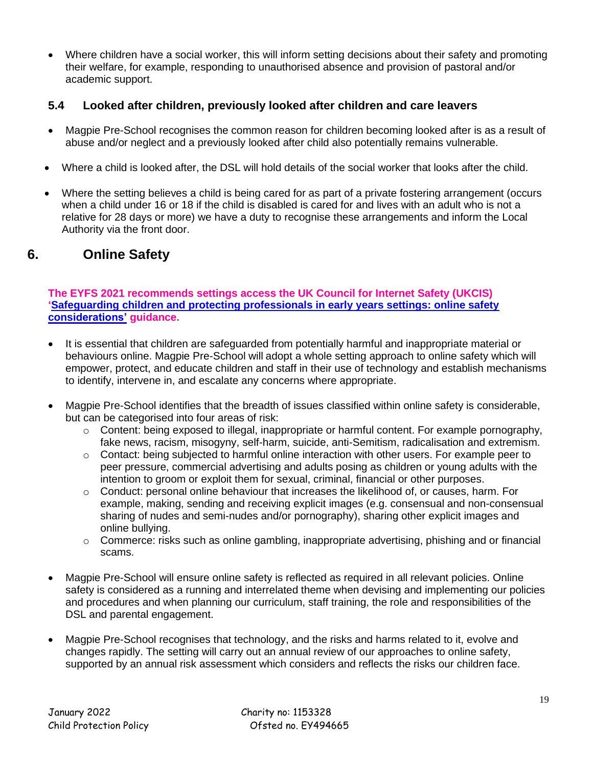• Where children have a social worker, this will inform setting decisions about their safety and promoting their welfare, for example, responding to unauthorised absence and provision of pastoral and/or academic support.

#### **5.4 Looked after children, previously looked after children and care leavers**

- Magpie Pre-School recognises the common reason for children becoming looked after is as a result of abuse and/or neglect and a previously looked after child also potentially remains vulnerable.
- Where a child is looked after, the DSL will hold details of the social worker that looks after the child.
- Where the setting believes a child is being cared for as part of a private fostering arrangement (occurs when a child under 16 or 18 if the child is disabled is cared for and lives with an adult who is not a relative for 28 days or more) we have a duty to recognise these arrangements and inform the Local Authority via the front door.

# **6. Online Safety**

**The EYFS 2021 recommends settings access the UK Council for Internet Safety (UKCIS) ['Safeguarding children and protecting professionals in early years settings: online safety](https://www.gov.uk/government/publications/safeguarding-children-and-protecting-professionals-in-early-years-settings-online-safety-considerations)  [considerations'](https://www.gov.uk/government/publications/safeguarding-children-and-protecting-professionals-in-early-years-settings-online-safety-considerations) guidance.** 

- It is essential that children are safeguarded from potentially harmful and inappropriate material or behaviours online. Magpie Pre-School will adopt a whole setting approach to online safety which will empower, protect, and educate children and staff in their use of technology and establish mechanisms to identify, intervene in, and escalate any concerns where appropriate.
- Magpie Pre-School identifies that the breadth of issues classified within online safety is considerable, but can be categorised into four areas of risk:
	- o Content: being exposed to illegal, inappropriate or harmful content. For example pornography, fake news, racism, misogyny, self-harm, suicide, anti-Semitism, radicalisation and extremism.
	- $\circ$  Contact: being subjected to harmful online interaction with other users. For example peer to peer pressure, commercial advertising and adults posing as children or young adults with the intention to groom or exploit them for sexual, criminal, financial or other purposes.
	- $\circ$  Conduct: personal online behaviour that increases the likelihood of, or causes, harm. For example, making, sending and receiving explicit images (e.g. consensual and non-consensual sharing of nudes and semi-nudes and/or pornography), sharing other explicit images and online bullying.
	- $\circ$  Commerce: risks such as online gambling, inappropriate advertising, phishing and or financial scams.
- Magpie Pre-School will ensure online safety is reflected as required in all relevant policies. Online safety is considered as a running and interrelated theme when devising and implementing our policies and procedures and when planning our curriculum, staff training, the role and responsibilities of the DSL and parental engagement.
- Magpie Pre-School recognises that technology, and the risks and harms related to it, evolve and changes rapidly. The setting will carry out an annual review of our approaches to online safety, supported by an annual risk assessment which considers and reflects the risks our children face.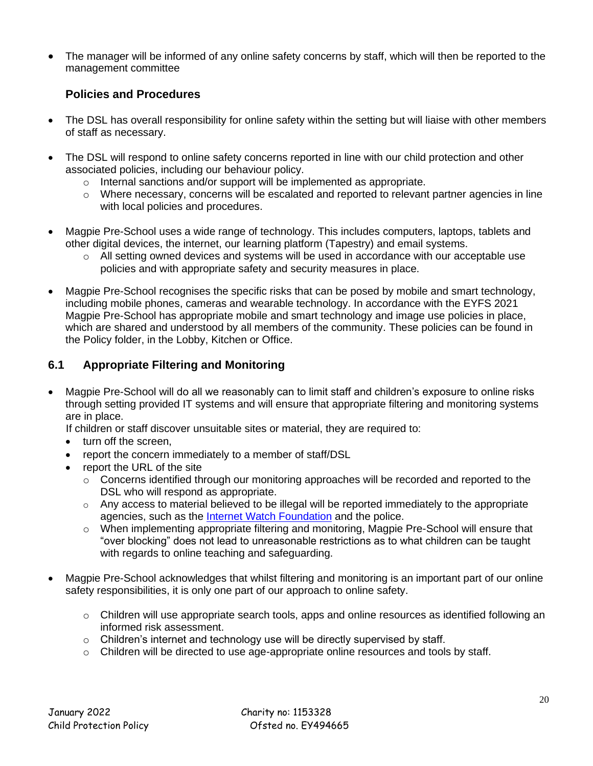• The manager will be informed of any online safety concerns by staff, which will then be reported to the management committee

## **Policies and Procedures**

- The DSL has overall responsibility for online safety within the setting but will liaise with other members of staff as necessary.
- The DSL will respond to online safety concerns reported in line with our child protection and other associated policies, including our behaviour policy.
	- o Internal sanctions and/or support will be implemented as appropriate.
	- $\circ$  Where necessary, concerns will be escalated and reported to relevant partner agencies in line with local policies and procedures.
- Magpie Pre-School uses a wide range of technology. This includes computers, laptops, tablets and other digital devices, the internet, our learning platform (Tapestry) and email systems.
	- $\circ$  All setting owned devices and systems will be used in accordance with our acceptable use policies and with appropriate safety and security measures in place.
- Magpie Pre-School recognises the specific risks that can be posed by mobile and smart technology, including mobile phones, cameras and wearable technology. In accordance with the EYFS 2021 Magpie Pre-School has appropriate mobile and smart technology and image use policies in place, which are shared and understood by all members of the community. These policies can be found in the Policy folder, in the Lobby, Kitchen or Office.

# **6.1 Appropriate Filtering and Monitoring**

• Magpie Pre-School will do all we reasonably can to limit staff and children's exposure to online risks through setting provided IT systems and will ensure that appropriate filtering and monitoring systems are in place.

If children or staff discover unsuitable sites or material, they are required to:

- turn off the screen,
- report the concern immediately to a member of staff/DSL
- report the URL of the site
	- $\circ$  Concerns identified through our monitoring approaches will be recorded and reported to the DSL who will respond as appropriate.
	- $\circ$  Any access to material believed to be illegal will be reported immediately to the appropriate agencies, such as the [Internet Watch Foundation](https://www.iwf.org.uk/) and the police.
	- o When implementing appropriate filtering and monitoring, Magpie Pre-School will ensure that "over blocking" does not lead to unreasonable restrictions as to what children can be taught with regards to online teaching and safeguarding.
- Magpie Pre-School acknowledges that whilst filtering and monitoring is an important part of our online safety responsibilities, it is only one part of our approach to online safety.
	- $\circ$  Children will use appropriate search tools, apps and online resources as identified following an informed risk assessment.
	- o Children's internet and technology use will be directly supervised by staff.
	- $\circ$  Children will be directed to use age-appropriate online resources and tools by staff.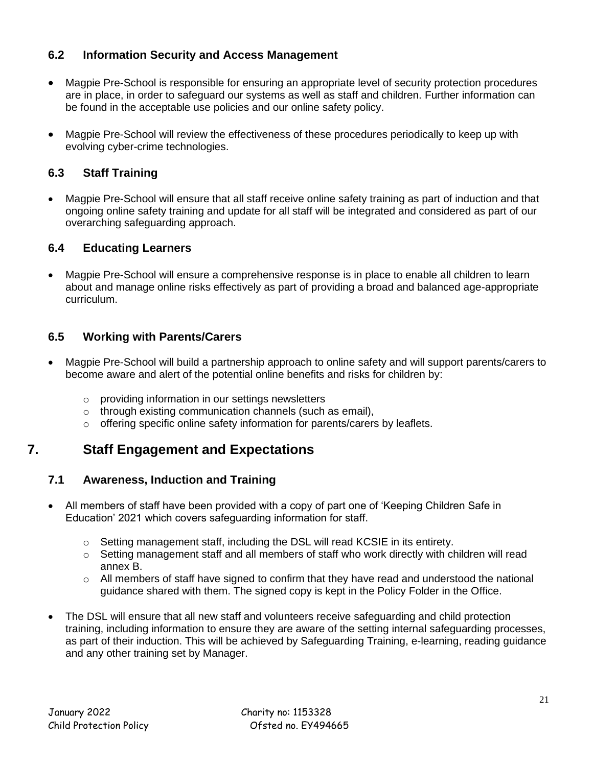## **6.2 Information Security and Access Management**

- Magpie Pre-School is responsible for ensuring an appropriate level of security protection procedures are in place, in order to safeguard our systems as well as staff and children. Further information can be found in the acceptable use policies and our online safety policy.
- Magpie Pre-School will review the effectiveness of these procedures periodically to keep up with evolving cyber-crime technologies.

# **6.3 Staff Training**

• Magpie Pre-School will ensure that all staff receive online safety training as part of induction and that ongoing online safety training and update for all staff will be integrated and considered as part of our overarching safeguarding approach.

# **6.4 Educating Learners**

• Magpie Pre-School will ensure a comprehensive response is in place to enable all children to learn about and manage online risks effectively as part of providing a broad and balanced age-appropriate curriculum.

# **6.5 Working with Parents/Carers**

- Magpie Pre-School will build a partnership approach to online safety and will support parents/carers to become aware and alert of the potential online benefits and risks for children by:
	- o providing information in our settings newsletters
	- o through existing communication channels (such as email),
	- o offering specific online safety information for parents/carers by leaflets.

# **7. Staff Engagement and Expectations**

## **7.1 Awareness, Induction and Training**

- All members of staff have been provided with a copy of part one of 'Keeping Children Safe in Education' 2021 which covers safeguarding information for staff.
	- o Setting management staff, including the DSL will read KCSIE in its entirety.
	- $\circ$  Setting management staff and all members of staff who work directly with children will read annex B.
	- $\circ$  All members of staff have signed to confirm that they have read and understood the national guidance shared with them. The signed copy is kept in the Policy Folder in the Office.
- The DSL will ensure that all new staff and volunteers receive safeguarding and child protection training, including information to ensure they are aware of the setting internal safeguarding processes, as part of their induction. This will be achieved by Safeguarding Training, e-learning, reading guidance and any other training set by Manager.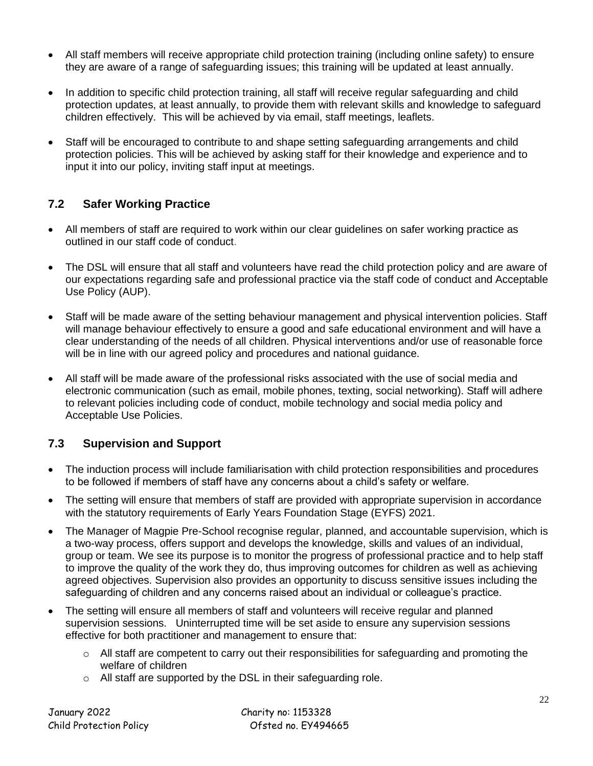- All staff members will receive appropriate child protection training (including online safety) to ensure they are aware of a range of safeguarding issues; this training will be updated at least annually.
- In addition to specific child protection training, all staff will receive regular safeguarding and child protection updates, at least annually, to provide them with relevant skills and knowledge to safeguard children effectively. This will be achieved by via email, staff meetings, leaflets.
- Staff will be encouraged to contribute to and shape setting safeguarding arrangements and child protection policies. This will be achieved by asking staff for their knowledge and experience and to input it into our policy, inviting staff input at meetings.

# **7.2 Safer Working Practice**

- All members of staff are required to work within our clear guidelines on safer working practice as outlined in our staff code of conduct.
- The DSL will ensure that all staff and volunteers have read the child protection policy and are aware of our expectations regarding safe and professional practice via the staff code of conduct and Acceptable Use Policy (AUP).
- Staff will be made aware of the setting behaviour management and physical intervention policies. Staff will manage behaviour effectively to ensure a good and safe educational environment and will have a clear understanding of the needs of all children. Physical interventions and/or use of reasonable force will be in line with our agreed policy and procedures and national guidance.
- All staff will be made aware of the professional risks associated with the use of social media and electronic communication (such as email, mobile phones, texting, social networking). Staff will adhere to relevant policies including code of conduct, mobile technology and social media policy and Acceptable Use Policies.

## **7.3 Supervision and Support**

- The induction process will include familiarisation with child protection responsibilities and procedures to be followed if members of staff have any concerns about a child's safety or welfare.
- The setting will ensure that members of staff are provided with appropriate supervision in accordance with the statutory requirements of Early Years Foundation Stage (EYFS) 2021.
- The Manager of Magpie Pre-School recognise regular, planned, and accountable supervision, which is a two-way process, offers support and develops the knowledge, skills and values of an individual, group or team. We see its purpose is to monitor the progress of professional practice and to help staff to improve the quality of the work they do, thus improving outcomes for children as well as achieving agreed objectives. Supervision also provides an opportunity to discuss sensitive issues including the safeguarding of children and any concerns raised about an individual or colleague's practice.
- The setting will ensure all members of staff and volunteers will receive regular and planned supervision sessions. Uninterrupted time will be set aside to ensure any supervision sessions effective for both practitioner and management to ensure that:
	- o All staff are competent to carry out their responsibilities for safeguarding and promoting the welfare of children
	- o All staff are supported by the DSL in their safeguarding role.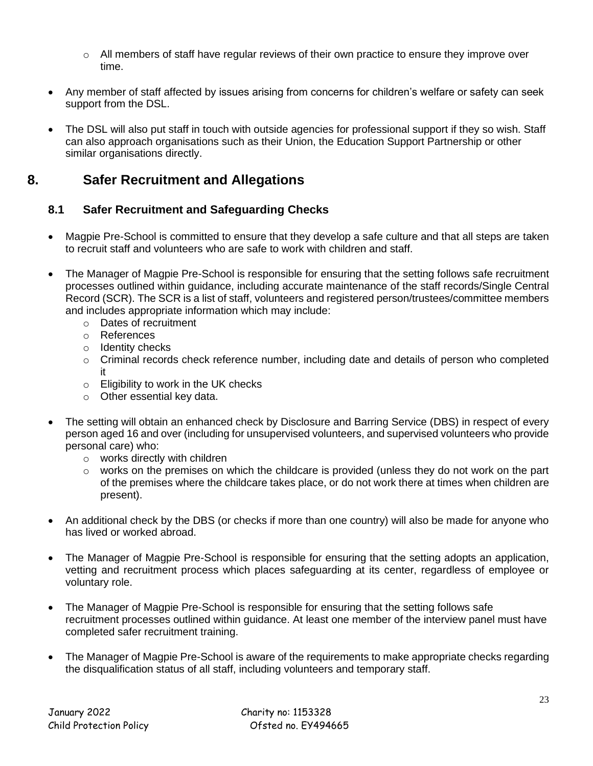- $\circ$  All members of staff have regular reviews of their own practice to ensure they improve over time.
- Any member of staff affected by issues arising from concerns for children's welfare or safety can seek support from the DSL.
- The DSL will also put staff in touch with outside agencies for professional support if they so wish. Staff can also approach organisations such as their Union, the Education Support Partnership or other similar organisations directly.

# **8. Safer Recruitment and Allegations**

# **8.1 Safer Recruitment and Safeguarding Checks**

- Magpie Pre-School is committed to ensure that they develop a safe culture and that all steps are taken to recruit staff and volunteers who are safe to work with children and staff.
- The Manager of Magpie Pre-School is responsible for ensuring that the setting follows safe recruitment processes outlined within guidance, including accurate maintenance of the staff records/Single Central Record (SCR). The SCR is a list of staff, volunteers and registered person/trustees/committee members and includes appropriate information which may include:
	- o Dates of recruitment
	- o References
	- o Identity checks
	- $\circ$  Criminal records check reference number, including date and details of person who completed it
	- o Eligibility to work in the UK checks
	- o Other essential key data.
- The setting will obtain an enhanced check by Disclosure and Barring Service (DBS) in respect of every person aged 16 and over (including for unsupervised volunteers, and supervised volunteers who provide personal care) who:
	- o works directly with children
	- $\circ$  works on the premises on which the childcare is provided (unless they do not work on the part of the premises where the childcare takes place, or do not work there at times when children are present).
- An additional check by the DBS (or checks if more than one country) will also be made for anyone who has lived or worked abroad.
- The Manager of Magpie Pre-School is responsible for ensuring that the setting adopts an application, vetting and recruitment process which places safeguarding at its center, regardless of employee or voluntary role.
- The Manager of Magpie Pre-School is responsible for ensuring that the setting follows safe recruitment processes outlined within guidance. At least one member of the interview panel must have completed safer recruitment training.
- The Manager of Magpie Pre-School is aware of the requirements to make appropriate checks regarding the disqualification status of all staff, including volunteers and temporary staff.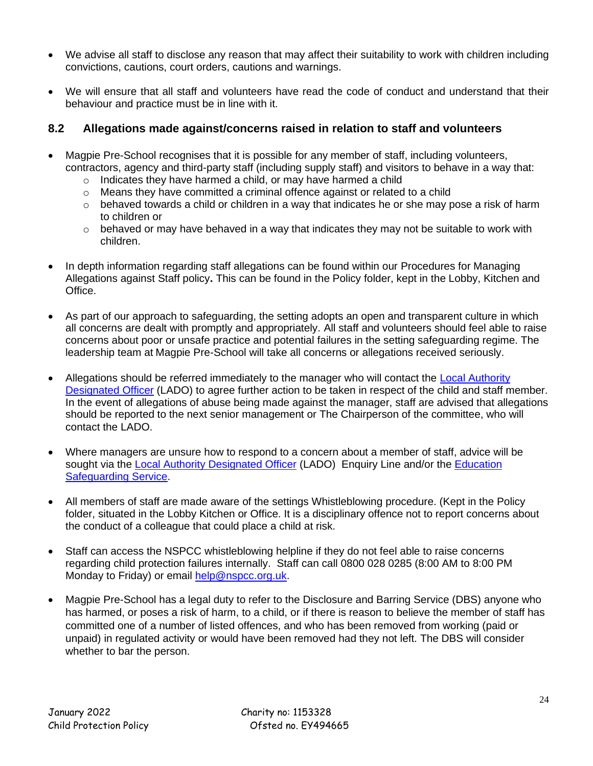- We advise all staff to disclose any reason that may affect their suitability to work with children including convictions, cautions, court orders, cautions and warnings.
- We will ensure that all staff and volunteers have read the code of conduct and understand that their behaviour and practice must be in line with it.

#### **8.2 Allegations made against/concerns raised in relation to staff and volunteers**

- Magpie Pre-School recognises that it is possible for any member of staff, including volunteers, contractors, agency and third-party staff (including supply staff) and visitors to behave in a way that:
	- $\circ$  Indicates they have harmed a child, or may have harmed a child
	- $\circ$  Means they have committed a criminal offence against or related to a child
	- $\circ$  behaved towards a child or children in a way that indicates he or she may pose a risk of harm to children or
	- $\circ$  behaved or may have behaved in a way that indicates they may not be suitable to work with children.
- In depth information regarding staff allegations can be found within our Procedures for Managing Allegations against Staff policy**.** This can be found in the Policy folder, kept in the Lobby, Kitchen and Office.
- As part of our approach to safeguarding, the setting adopts an open and transparent culture in which all concerns are dealt with promptly and appropriately. All staff and volunteers should feel able to raise concerns about poor or unsafe practice and potential failures in the setting safeguarding regime. The leadership team at Magpie Pre-School will take all concerns or allegations received seriously.
- Allegations should be referred immediately to the manager who will contact the [Local Authority](https://www.kscmp.org.uk/procedures/local-authority-designated-officer-lado)  [Designated Officer](https://www.kscmp.org.uk/procedures/local-authority-designated-officer-lado) (LADO) to agree further action to be taken in respect of the child and staff member. In the event of allegations of abuse being made against the manager, staff are advised that allegations should be reported to the next senior management or The Chairperson of the committee, who will contact the LADO.
- Where managers are unsure how to respond to a concern about a member of staff, advice will be sought via the [Local Authority Designated Officer](https://www.kscmp.org.uk/procedures/local-authority-designated-officer-lado) (LADO) Enquiry Line and/or the Education [Safeguarding Service.](https://www.theeducationpeople.org/our-expertise/safeguarding/safeguarding-contacts/)
- All members of staff are made aware of the settings Whistleblowing procedure. (Kept in the Policy folder, situated in the Lobby Kitchen or Office. It is a disciplinary offence not to report concerns about the conduct of a colleague that could place a child at risk.
- Staff can access the NSPCC whistleblowing helpline if they do not feel able to raise concerns regarding child protection failures internally. Staff can call 0800 028 0285 (8:00 AM to 8:00 PM Monday to Friday) or email [help@nspcc.org.uk.](mailto:help@nspcc.org.uk)
- Magpie Pre-School has a legal duty to refer to the Disclosure and Barring Service (DBS) anyone who has harmed, or poses a risk of harm, to a child, or if there is reason to believe the member of staff has committed one of a number of listed offences, and who has been removed from working (paid or unpaid) in regulated activity or would have been removed had they not left. The DBS will consider whether to bar the person.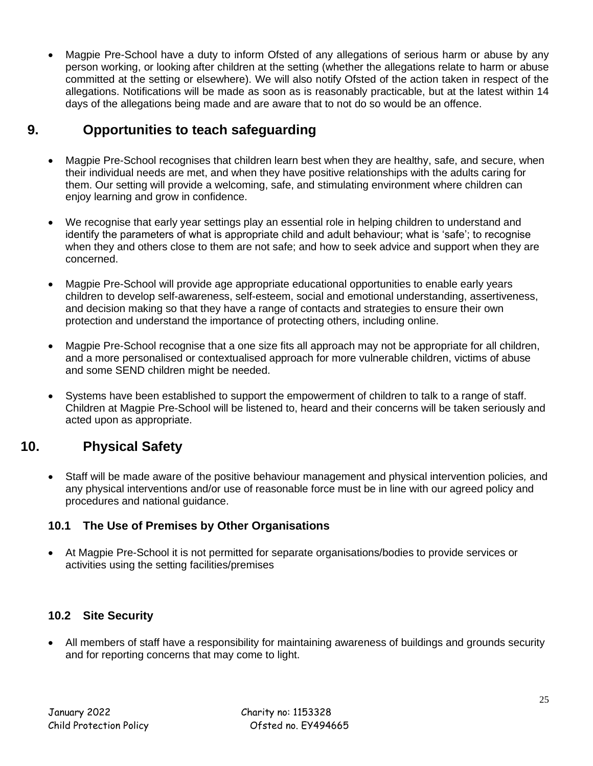• Magpie Pre-School have a duty to inform Ofsted of any allegations of serious harm or abuse by any person working, or looking after children at the setting (whether the allegations relate to harm or abuse committed at the setting or elsewhere). We will also notify Ofsted of the action taken in respect of the allegations. Notifications will be made as soon as is reasonably practicable, but at the latest within 14 days of the allegations being made and are aware that to not do so would be an offence.

# **9. Opportunities to teach safeguarding**

- Magpie Pre-School recognises that children learn best when they are healthy, safe, and secure, when their individual needs are met, and when they have positive relationships with the adults caring for them. Our setting will provide a welcoming, safe, and stimulating environment where children can enjoy learning and grow in confidence.
- We recognise that early year settings play an essential role in helping children to understand and identify the parameters of what is appropriate child and adult behaviour; what is 'safe'; to recognise when they and others close to them are not safe; and how to seek advice and support when they are concerned.
- Magpie Pre-School will provide age appropriate educational opportunities to enable early years children to develop self-awareness, self-esteem, social and emotional understanding, assertiveness, and decision making so that they have a range of contacts and strategies to ensure their own protection and understand the importance of protecting others, including online.
- Magpie Pre-School recognise that a one size fits all approach may not be appropriate for all children, and a more personalised or contextualised approach for more vulnerable children, victims of abuse and some SEND children might be needed.
- Systems have been established to support the empowerment of children to talk to a range of staff. Children at Magpie Pre-School will be listened to, heard and their concerns will be taken seriously and acted upon as appropriate.

# **10. Physical Safety**

• Staff will be made aware of the positive behaviour management and physical intervention policies*,* and any physical interventions and/or use of reasonable force must be in line with our agreed policy and procedures and national guidance.

# **10.1 The Use of Premises by Other Organisations**

• At Magpie Pre-School it is not permitted for separate organisations/bodies to provide services or activities using the setting facilities/premises

## **10.2 Site Security**

• All members of staff have a responsibility for maintaining awareness of buildings and grounds security and for reporting concerns that may come to light.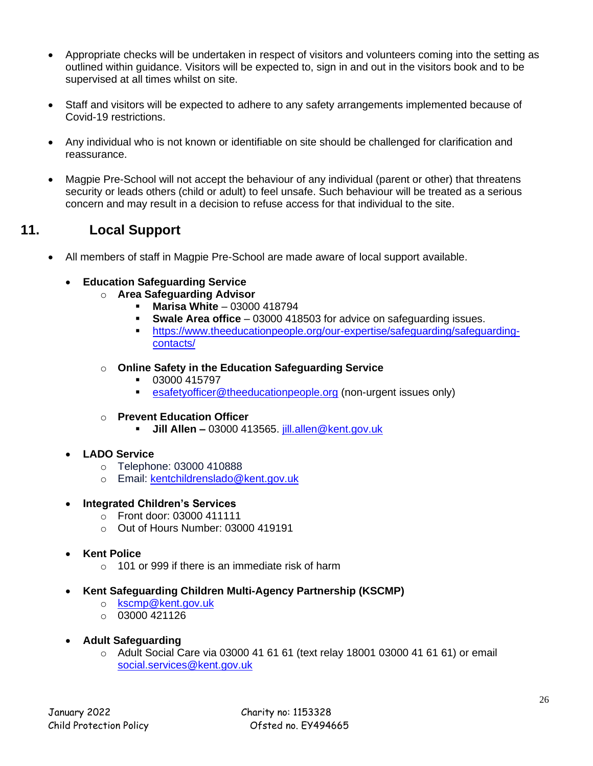- Appropriate checks will be undertaken in respect of visitors and volunteers coming into the setting as outlined within guidance. Visitors will be expected to, sign in and out in the visitors book and to be supervised at all times whilst on site.
- Staff and visitors will be expected to adhere to any safety arrangements implemented because of Covid-19 restrictions.
- Any individual who is not known or identifiable on site should be challenged for clarification and reassurance.
- Magpie Pre-School will not accept the behaviour of any individual (parent or other) that threatens security or leads others (child or adult) to feel unsafe. Such behaviour will be treated as a serious concern and may result in a decision to refuse access for that individual to the site.

# **11. Local Support**

• All members of staff in Magpie Pre-School are made aware of local support available.

#### • **Education Safeguarding Service**

- o **Area Safeguarding Advisor** 
	- **Marisa White** 03000 418794
	- **Swale Area office** 03000 418503 for advice on safeguarding issues.
	- [https://www.theeducationpeople.org/our-expertise/safeguarding/safeguarding](https://www.theeducationpeople.org/our-expertise/safeguarding/safeguarding-contacts/)[contacts/](https://www.theeducationpeople.org/our-expertise/safeguarding/safeguarding-contacts/)
- o **Online Safety in the Education Safeguarding Service**
	- 03000 415797
	- [esafetyofficer@theeducationpeople.org](mailto:esafetyofficer@theeducationpeople.org) (non-urgent issues only)
- o **Prevent Education Officer**
	- **Jill Allen –** 03000 413565. [jill.allen@kent.gov.uk](mailto:jill.allen@kent.gov.uk)
- **LADO Service**
	- o Telephone: 03000 410888
	- o Email: [kentchildrenslado@kent.gov.uk](mailto:kentchildrenslado@kent.gov.uk)
- **Integrated Children's Services** 
	- $\circ$  Front door: 03000 411111
	- o Out of Hours Number: 03000 419191
- **Kent Police**
	- $\circ$  101 or 999 if there is an immediate risk of harm
- **Kent Safeguarding Children Multi-Agency Partnership (KSCMP)**
	- o [kscmp@kent.gov.uk](mailto:kscmp@kent.gov.uk)
	- $O$  03000 421126
- **Adult Safeguarding**
	- $\circ$  Adult Social Care via 03000 41 61 61 (text relay 18001 03000 41 61 61) or email [social.services@kent.gov.uk](mailto:social.services@kent.gov.uk)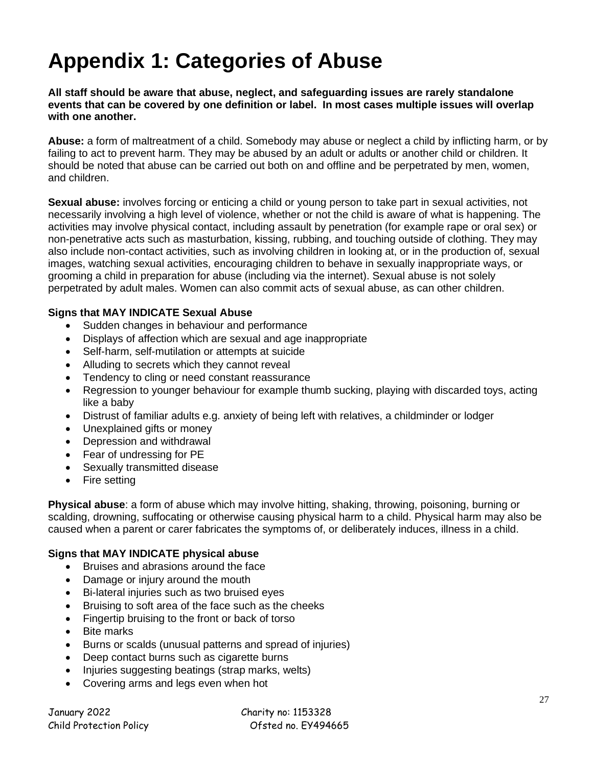# **Appendix 1: Categories of Abuse**

**All staff should be aware that abuse, neglect, and safeguarding issues are rarely standalone events that can be covered by one definition or label. In most cases multiple issues will overlap with one another.**

**Abuse:** a form of maltreatment of a child. Somebody may abuse or neglect a child by inflicting harm, or by failing to act to prevent harm. They may be abused by an adult or adults or another child or children. It should be noted that abuse can be carried out both on and offline and be perpetrated by men, women, and children.

**Sexual abuse:** involves forcing or enticing a child or young person to take part in sexual activities, not necessarily involving a high level of violence, whether or not the child is aware of what is happening. The activities may involve physical contact, including assault by penetration (for example rape or oral sex) or non-penetrative acts such as masturbation, kissing, rubbing, and touching outside of clothing. They may also include non-contact activities, such as involving children in looking at, or in the production of, sexual images, watching sexual activities, encouraging children to behave in sexually inappropriate ways, or grooming a child in preparation for abuse (including via the internet). Sexual abuse is not solely perpetrated by adult males. Women can also commit acts of sexual abuse, as can other children.

#### **Signs that MAY INDICATE Sexual Abuse**

- Sudden changes in behaviour and performance
- Displays of affection which are sexual and age inappropriate
- Self-harm, self-mutilation or attempts at suicide
- Alluding to secrets which they cannot reveal
- Tendency to cling or need constant reassurance
- Regression to younger behaviour for example thumb sucking, playing with discarded toys, acting like a baby
- Distrust of familiar adults e.g. anxiety of being left with relatives, a childminder or lodger
- Unexplained gifts or money
- Depression and withdrawal
- Fear of undressing for PE
- Sexually transmitted disease
- Fire setting

**Physical abuse**: a form of abuse which may involve hitting, shaking, throwing, poisoning, burning or scalding, drowning, suffocating or otherwise causing physical harm to a child. Physical harm may also be caused when a parent or carer fabricates the symptoms of, or deliberately induces, illness in a child.

#### **Signs that MAY INDICATE physical abuse**

- Bruises and abrasions around the face
- Damage or injury around the mouth
- Bi-lateral injuries such as two bruised eyes
- Bruising to soft area of the face such as the cheeks
- Fingertip bruising to the front or back of torso
- Bite marks
- Burns or scalds (unusual patterns and spread of injuries)
- Deep contact burns such as cigarette burns
- Injuries suggesting beatings (strap marks, welts)
- Covering arms and legs even when hot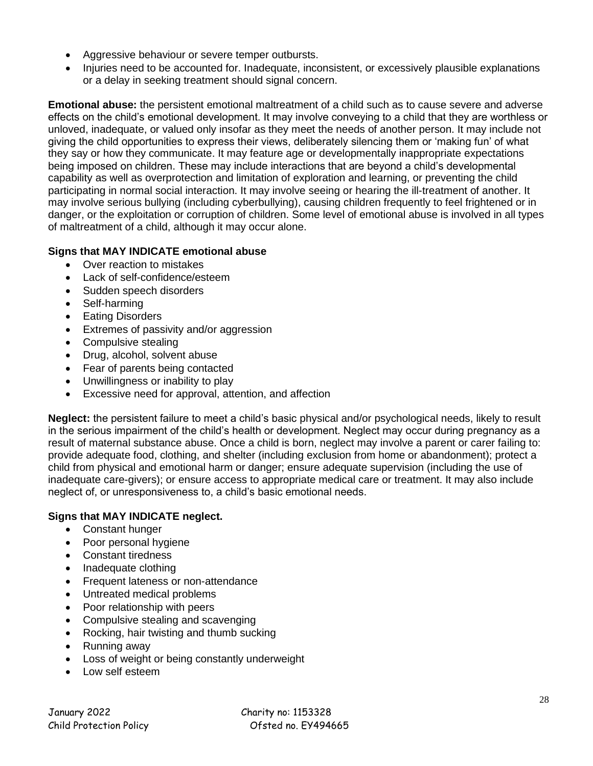- Aggressive behaviour or severe temper outbursts.
- Injuries need to be accounted for. Inadequate, inconsistent, or excessively plausible explanations or a delay in seeking treatment should signal concern.

**Emotional abuse:** the persistent emotional maltreatment of a child such as to cause severe and adverse effects on the child's emotional development. It may involve conveying to a child that they are worthless or unloved, inadequate, or valued only insofar as they meet the needs of another person. It may include not giving the child opportunities to express their views, deliberately silencing them or 'making fun' of what they say or how they communicate. It may feature age or developmentally inappropriate expectations being imposed on children. These may include interactions that are beyond a child's developmental capability as well as overprotection and limitation of exploration and learning, or preventing the child participating in normal social interaction. It may involve seeing or hearing the ill-treatment of another. It may involve serious bullying (including cyberbullying), causing children frequently to feel frightened or in danger, or the exploitation or corruption of children. Some level of emotional abuse is involved in all types of maltreatment of a child, although it may occur alone.

#### **Signs that MAY INDICATE emotional abuse**

- Over reaction to mistakes
- Lack of self-confidence/esteem
- Sudden speech disorders
- Self-harming
- Eating Disorders
- Extremes of passivity and/or aggression
- Compulsive stealing
- Drug, alcohol, solvent abuse
- Fear of parents being contacted
- Unwillingness or inability to play
- Excessive need for approval, attention, and affection

**Neglect:** the persistent failure to meet a child's basic physical and/or psychological needs, likely to result in the serious impairment of the child's health or development. Neglect may occur during pregnancy as a result of maternal substance abuse. Once a child is born, neglect may involve a parent or carer failing to: provide adequate food, clothing, and shelter (including exclusion from home or abandonment); protect a child from physical and emotional harm or danger; ensure adequate supervision (including the use of inadequate care-givers); or ensure access to appropriate medical care or treatment. It may also include neglect of, or unresponsiveness to, a child's basic emotional needs.

#### **Signs that MAY INDICATE neglect.**

- Constant hunger
- Poor personal hygiene
- Constant tiredness
- Inadequate clothing
- Frequent lateness or non-attendance
- Untreated medical problems
- Poor relationship with peers
- Compulsive stealing and scavenging
- Rocking, hair twisting and thumb sucking
- Running away
- Loss of weight or being constantly underweight
- Low self esteem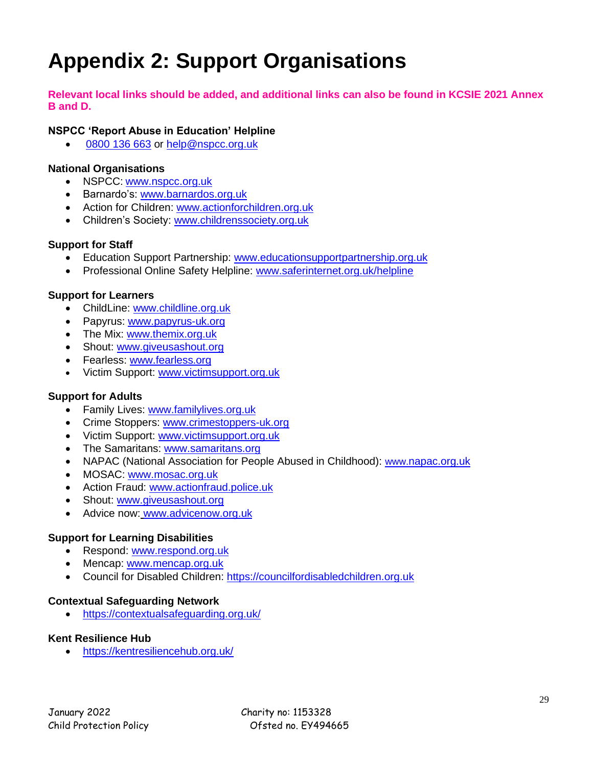# **Appendix 2: Support Organisations**

**Relevant local links should be added, and additional links can also be found in KCSIE 2021 Annex B and D.**

#### **NSPCC 'Report Abuse in Education' Helpline**

• [0800 136 663](tel:0800%20136%20663) or [help@nspcc.org.uk](mailto:help@nspcc.org.uk)

#### **National Organisations**

- NSPCC: [www.nspcc.org.uk](http://www.nspcc.org.uk/)
- Barnardo's: [www.barnardos.org.uk](http://www.barnardos.org.uk/)
- Action for Children: [www.actionforchildren.org.uk](http://www.actionforchildren.org.uk/)
- Children's Society: [www.childrenssociety.org.uk](http://www.childrenssociety.org.uk/)

#### **Support for Staff**

- Education Support Partnership: [www.educationsupportpartnership.org.uk](http://www.educationsupportpartnership.org.uk/)
- Professional Online Safety Helpline: [www.saferinternet.org.uk/helpline](http://www.saferinternet.org.uk/helpline)

#### **Support for Learners**

- ChildLine: [www.childline.org.uk](http://www.childline.org.uk/)
- Papyrus: [www.papyrus-uk.org](http://www.papyrus-uk.org/)
- The Mix: [www.themix.org.uk](http://www.themix.org.uk/)
- Shout: [www.giveusashout.org](http://www.giveusashout.org/)
- Fearless: [www.fearless.org](http://www.fearless.org/)
- Victim Support: [www.victimsupport.org.uk](http://www.victimsupport.org.uk/)

#### **Support for Adults**

- Family Lives: [www.familylives.org.uk](http://www.familylives.org.uk/)
- Crime Stoppers: [www.crimestoppers-uk.org](http://www.crimestoppers-uk.org/)
- Victim Support: [www.victimsupport.org.uk](http://www.victimsupport.org.uk/)
- The Samaritans: [www.samaritans.org](http://www.samaritans.org/)
- NAPAC (National Association for People Abused in Childhood): www.[napac.org.uk](https://napac.org.uk/)
- MOSAC: [www.mosac.org.uk](http://www.mosac.org.uk/)
- Action Fraud: [www.actionfraud.police.uk](http://www.actionfraud.police.uk/)
- Shout: [www.giveusashout.org](http://www.giveusashout.org/)
- Advice now: www.advicenow.org.uk

#### **Support for Learning Disabilities**

- Respond: [www.respond.org.uk](http://www.respond.org.uk/)
- Mencap: [www.mencap.org.uk](http://www.mencap.org.uk/)
- Council for Disabled Children: [https://councilfordisabledchildren.org.uk](https://councilfordisabledchildren.org.uk/)

#### **Contextual Safeguarding Network**

• <https://contextualsafeguarding.org.uk/>

#### **Kent Resilience Hub**

• <https://kentresiliencehub.org.uk/>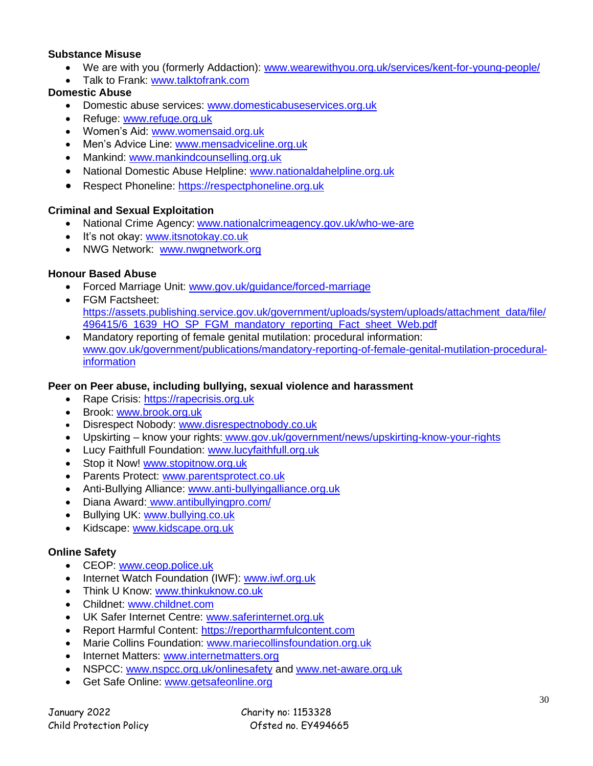#### **Substance Misuse**

- We are with you (formerly Addaction): [www.wearewithyou.org.uk/services/kent-for-young-people/](http://www.wearewithyou.org.uk/services/kent-for-young-people/)
- Talk to Frank: [www.talktofrank.com](http://www.talktofrank.com/)

#### **Domestic Abuse**

- Domestic abuse services: [www.domesticabuseservices.org.uk](http://www.domesticabuseservices.org.uk/)
- Refuge: [www.refuge.org.uk](http://www.refuge.org.uk/)
- Women's Aid: [www.womensaid.org.uk](http://www.womensaid.org.uk/)
- Men's Advice Line: [www.mensadviceline.org.uk](http://www.mensadviceline.org.uk/)
- Mankind: [www.mankindcounselling.org.uk](http://www.mankindcounselling.org.uk/)
- National Domestic Abuse Helpline: [www.nationaldahelpline.org.uk](http://www.nationaldahelpline.org.uk/)
- Respect Phoneline: [https://respectphoneline.org.uk](https://respectphoneline.org.uk/)

#### **Criminal and Sexual Exploitation**

- National Crime Agency: [www.nationalcrimeagency.gov.uk/who-we-are](http://www.nationalcrimeagency.gov.uk/who-we-are)
- It's not okay: [www.itsnotokay.co.uk](http://www.itsnotokay.co.uk/)
- NWG Network: [www.nwgnetwork.org](http://www.nwgnetwork.org/)

#### **Honour Based Abuse**

- Forced Marriage Unit: [www.gov.uk/guidance/forced-marriage](http://www.gov.uk/guidance/forced-marriage)
- FGM Factsheet: [https://assets.publishing.service.gov.uk/government/uploads/system/uploads/attachment\\_data/file/](https://assets.publishing.service.gov.uk/government/uploads/system/uploads/attachment_data/file/496415/6_1639_HO_SP_FGM_mandatory_reporting_Fact_sheet_Web.pdf) [496415/6\\_1639\\_HO\\_SP\\_FGM\\_mandatory\\_reporting\\_Fact\\_sheet\\_Web.pdf](https://assets.publishing.service.gov.uk/government/uploads/system/uploads/attachment_data/file/496415/6_1639_HO_SP_FGM_mandatory_reporting_Fact_sheet_Web.pdf)
- Mandatory reporting of female genital mutilation: procedural information: [www.gov.uk/government/publications/mandatory-reporting-of-female-genital-mutilation-procedural](http://www.gov.uk/government/publications/mandatory-reporting-of-female-genital-mutilation-procedural-information)[information](http://www.gov.uk/government/publications/mandatory-reporting-of-female-genital-mutilation-procedural-information)

#### **Peer on Peer abuse, including bullying, sexual violence and harassment**

- Rape Crisis: [https://rapecrisis.org.uk](https://rapecrisis.org.uk/)
- Brook: [www.brook.org.uk](http://www.brook.org.uk/)
- Disrespect Nobody: [www.disrespectnobody.co.uk](http://www.disrespectnobody.co.uk/)
- Upskirting know your rights: [www.gov.uk/government/news/upskirting-know-your-rights](http://www.gov.uk/government/news/upskirting-know-your-rights)
- Lucy Faithfull Foundation: [www.lucyfaithfull.org.uk](http://www.lucyfaithfull.org.uk/)
- Stop it Now! [www.stopitnow.org.uk](http://www.stopitnow.org.uk/)
- Parents Protect: [www.parentsprotect.co.uk](http://www.parentsprotect.co.uk/)
- Anti-Bullying Alliance: [www.anti-bullyingalliance.org.uk](http://www.anti-bullyingalliance.org.uk/)
- Diana Award: [www.antibullyingpro.com/](http://www.antibullyingpro.com/)
- Bullying UK: [www.bullying.co.uk](http://www.bullying.co.uk/)
- Kidscape: [www.kidscape.org.uk](http://www.kidscape.org.uk/)

#### **Online Safety**

- CEOP: [www.ceop.police.uk](http://www.ceop.police.uk/)
- Internet Watch Foundation (IWF): [www.iwf.org.uk](http://www.iwf.org.uk/)
- Think U Know: [www.thinkuknow.co.uk](http://www.thinkuknow.co.uk/)
- Childnet: [www.childnet.com](http://www.childnet.com/)
- UK Safer Internet Centre: [www.saferinternet.org.uk](http://www.saferinternet.org.uk/)
- Report Harmful Content: [https://reportharmfulcontent.com](https://reportharmfulcontent.com/)
- Marie Collins Foundation: [www.mariecollinsfoundation.org.uk](http://www.mariecollinsfoundation.org.uk/)
- Internet Matters: [www.internetmatters.org](http://www.internetmatters.org/)
- NSPCC: [www.nspcc.org.uk/onlinesafety](http://www.nspcc.org.uk/onlinesafety) and [www.net-aware.org.uk](http://www.net-aware.org.uk/)
- Get Safe Online: [www.getsafeonline.org](https://www.getsafeonline.org/)